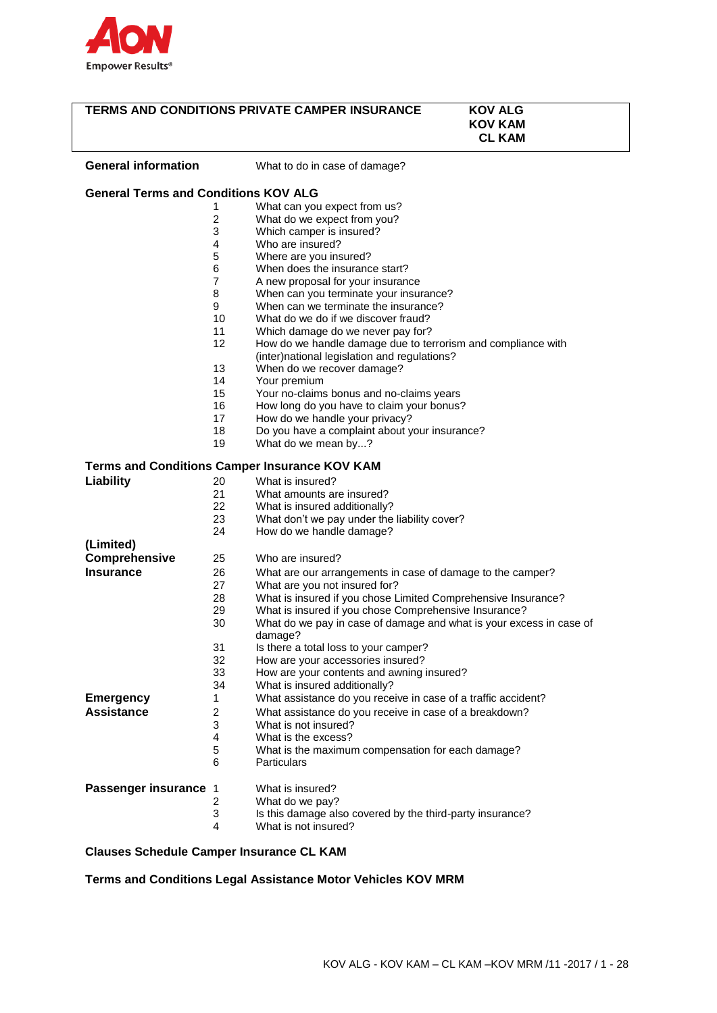

| <b>TERMS AND CONDITIONS PRIVATE CAMPER INSURANCE</b> |                               | KOV ALG<br>KOV KAM<br><b>CL KAM</b> |  |
|------------------------------------------------------|-------------------------------|-------------------------------------|--|
| <b>General information</b>                           | What to do in case of damage? |                                     |  |

| <b>General Terms and Conditions KOV ALG</b> |                   |                                                                                                               |  |  |
|---------------------------------------------|-------------------|---------------------------------------------------------------------------------------------------------------|--|--|
|                                             | 1                 | What can you expect from us?                                                                                  |  |  |
|                                             | $\overline{c}$    | What do we expect from you?                                                                                   |  |  |
|                                             | 3                 | Which camper is insured?                                                                                      |  |  |
|                                             | 4                 | Who are insured?                                                                                              |  |  |
|                                             | 5                 | Where are you insured?                                                                                        |  |  |
|                                             | 6                 | When does the insurance start?                                                                                |  |  |
|                                             | $\overline{7}$    | A new proposal for your insurance                                                                             |  |  |
|                                             | 8                 | When can you terminate your insurance?                                                                        |  |  |
|                                             | 9                 | When can we terminate the insurance?                                                                          |  |  |
|                                             | 10                | What do we do if we discover fraud?                                                                           |  |  |
|                                             | 11                | Which damage do we never pay for?                                                                             |  |  |
|                                             | $12 \overline{ }$ | How do we handle damage due to terrorism and compliance with<br>(inter) national legislation and regulations? |  |  |
|                                             | 13                | When do we recover damage?                                                                                    |  |  |
|                                             | 14                | Your premium                                                                                                  |  |  |
|                                             | 15                | Your no-claims bonus and no-claims years                                                                      |  |  |
|                                             | 16                | How long do you have to claim your bonus?                                                                     |  |  |
|                                             | 17                | How do we handle your privacy?                                                                                |  |  |
|                                             | 18                | Do you have a complaint about your insurance?                                                                 |  |  |
|                                             | 19                | What do we mean by?                                                                                           |  |  |
|                                             |                   |                                                                                                               |  |  |
|                                             |                   | <b>Terms and Conditions Camper Insurance KOV KAM</b>                                                          |  |  |
| Liability                                   | 20                | What is insured?                                                                                              |  |  |
|                                             | 21                | What amounts are insured?                                                                                     |  |  |
|                                             | 22                | What is insured additionally?                                                                                 |  |  |
|                                             | 23                | What don't we pay under the liability cover?                                                                  |  |  |
|                                             | 24                | How do we handle damage?                                                                                      |  |  |
| (Limited)                                   |                   |                                                                                                               |  |  |
| Comprehensive                               | 25                | Who are insured?                                                                                              |  |  |
| <b>Insurance</b>                            | 26                | What are our arrangements in case of damage to the camper?                                                    |  |  |
|                                             | 27                | What are you not insured for?                                                                                 |  |  |
|                                             | 28                | What is insured if you chose Limited Comprehensive Insurance?                                                 |  |  |
|                                             | 29                | What is insured if you chose Comprehensive Insurance?                                                         |  |  |
|                                             | 30                | What do we pay in case of damage and what is your excess in case of<br>damage?                                |  |  |
|                                             | 31                | Is there a total loss to your camper?                                                                         |  |  |
|                                             | 32                | How are your accessories insured?                                                                             |  |  |
|                                             | 33                | How are your contents and awning insured?                                                                     |  |  |
|                                             | 34                | What is insured additionally?                                                                                 |  |  |
| <b>Emergency</b>                            | 1                 | What assistance do you receive in case of a traffic accident?                                                 |  |  |
|                                             | 2                 | What assistance do you receive in case of a breakdown?                                                        |  |  |
| <b>Assistance</b>                           |                   |                                                                                                               |  |  |
|                                             | 3                 | What is not insured?<br>What is the excess?                                                                   |  |  |
|                                             | 4                 |                                                                                                               |  |  |
|                                             | 5<br>6            | What is the maximum compensation for each damage?                                                             |  |  |
|                                             |                   | <b>Particulars</b>                                                                                            |  |  |
| Passenger insurance 1                       |                   | What is insured?                                                                                              |  |  |
|                                             | 2                 | What do we pay?                                                                                               |  |  |
|                                             | 3                 | Is this damage also covered by the third-party insurance?                                                     |  |  |
|                                             | 4                 | What is not insured?                                                                                          |  |  |

**Clauses Schedule Camper Insurance CL KAM**

**Terms and Conditions Legal Assistance Motor Vehicles KOV MRM**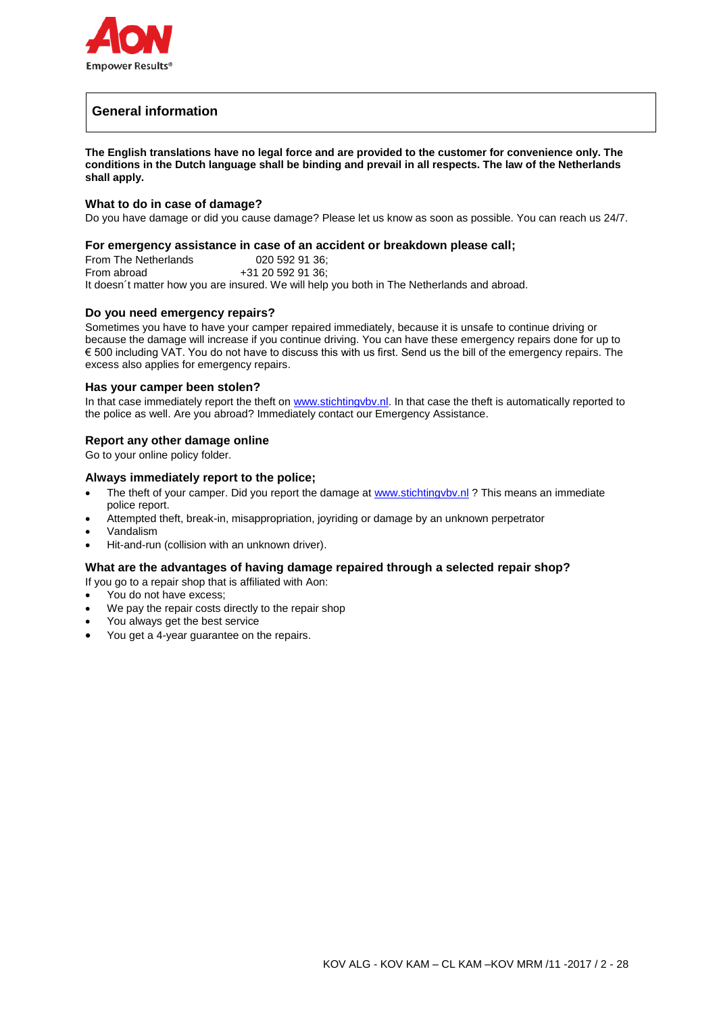

# **General information**

**The English translations have no legal force and are provided to the customer for convenience only. The conditions in the Dutch language shall be binding and prevail in all respects. The law of the Netherlands shall apply.**

# **What to do in case of damage?**

Do you have damage or did you cause damage? Please let us know as soon as possible. You can reach us 24/7.

# **For emergency assistance in case of an accident or breakdown please call;**

From The Netherlands 020 592 91 36: From abroad  $+31$  20 592 91 36; It doesn´t matter how you are insured. We will help you both in The Netherlands and abroad.

# **Do you need emergency repairs?**

Sometimes you have to have your camper repaired immediately, because it is unsafe to continue driving or because the damage will increase if you continue driving. You can have these emergency repairs done for up to € 500 including VAT. You do not have to discuss this with us first. Send us the bill of the emergency repairs. The excess also applies for emergency repairs.

# **Has your camper been stolen?**

In that case immediately report the theft on [www.stichtingvbv.nl.](http://www.stichtingvbv.nl/) In that case the theft is automatically reported to the police as well. Are you abroad? Immediately contact our Emergency Assistance.

# **Report any other damage online**

Go to your online policy folder.

# **Always immediately report to the police;**

- The theft of your camper. Did you report the damage at www.stichtingvbv.nl ? This means an immediate police report.
- Attempted theft, break-in, misappropriation, joyriding or damage by an unknown perpetrator
- Vandalism
- Hit-and-run (collision with an unknown driver).

# **What are the advantages of having damage repaired through a selected repair shop?**

If you go to a repair shop that is affiliated with Aon:

- You do not have excess;
- We pay the repair costs directly to the repair shop
- You always get the best service
- You get a 4-year guarantee on the repairs.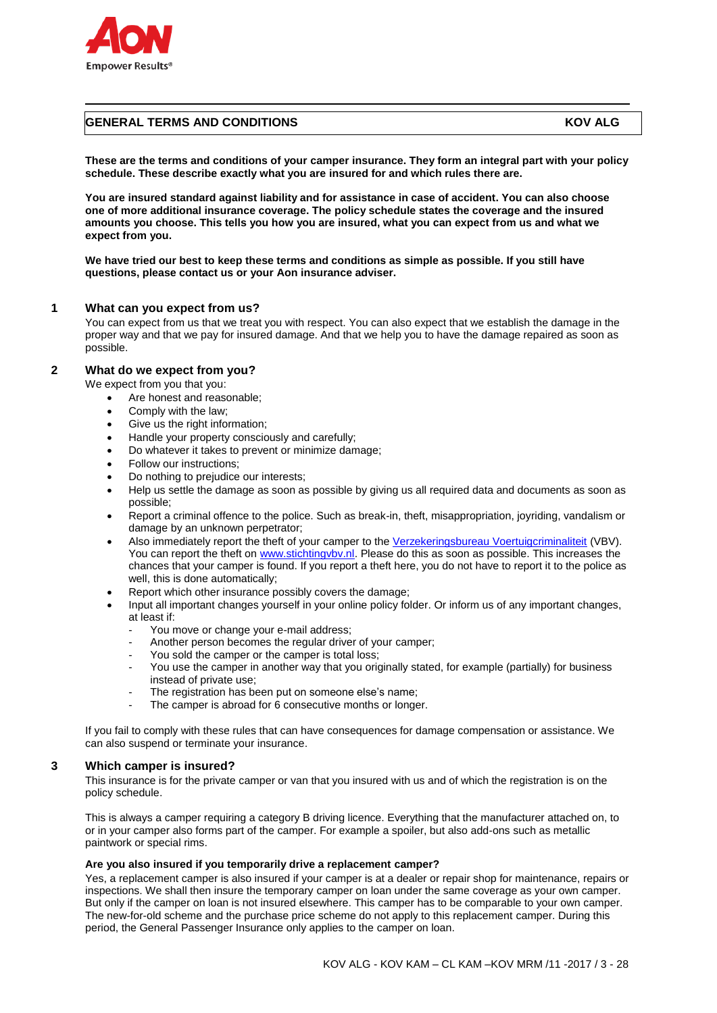

# **GENERAL TERMS AND CONDITIONS AND ALGEBRO ALGEBRO ALGEBRO ALGEBRO ALGEBRO ALGEBRO ALGEBRO ALGEBRO ALGEBRO ALGEBRO**

**These are the terms and conditions of your camper insurance. They form an integral part with your policy schedule. These describe exactly what you are insured for and which rules there are.**

**You are insured standard against liability and for assistance in case of accident. You can also choose one of more additional insurance coverage. The policy schedule states the coverage and the insured amounts you choose. This tells you how you are insured, what you can expect from us and what we expect from you.**

**We have tried our best to keep these terms and conditions as simple as possible. If you still have questions, please contact us or your Aon insurance adviser.**

#### **1 What can you expect from us?**

You can expect from us that we treat you with respect. You can also expect that we establish the damage in the proper way and that we pay for insured damage. And that we help you to have the damage repaired as soon as possible.

# **2 What do we expect from you?**

We expect from you that you:

- Are honest and reasonable;
- Comply with the law;
- Give us the right information;
- Handle your property consciously and carefully;
- Do whatever it takes to prevent or minimize damage;
- Follow our instructions;
- Do nothing to prejudice our interests;
- Help us settle the damage as soon as possible by giving us all required data and documents as soon as possible;
- Report a criminal offence to the police. Such as break-in, theft, misappropriation, joyriding, vandalism or damage by an unknown perpetrator;
- Also immediately report the theft of your camper to the [Verzekeringsbureau Voertuigcriminaliteit](http://www.stichtingvbv.nl/) (VBV). You can report the theft on www.stichtingvby.nl. Please do this as soon as possible. This increases the chances that your camper is found. If you report a theft here, you do not have to report it to the police as well, this is done automatically;
- Report which other insurance possibly covers the damage;
- Input all important changes yourself in your online policy folder. Or inform us of any important changes, at least if:
	- You move or change your e-mail address;
	- Another person becomes the regular driver of your camper;
	- You sold the camper or the camper is total loss;
	- You use the camper in another way that you originally stated, for example (partially) for business instead of private use;
	- The registration has been put on someone else's name;
	- The camper is abroad for 6 consecutive months or longer.

If you fail to comply with these rules that can have consequences for damage compensation or assistance. We can also suspend or terminate your insurance.

#### **3 Which camper is insured?**

This insurance is for the private camper or van that you insured with us and of which the registration is on the policy schedule.

This is always a camper requiring a category B driving licence. Everything that the manufacturer attached on, to or in your camper also forms part of the camper. For example a spoiler, but also add-ons such as metallic paintwork or special rims.

#### **Are you also insured if you temporarily drive a replacement camper?**

Yes, a replacement camper is also insured if your camper is at a dealer or repair shop for maintenance, repairs or inspections. We shall then insure the temporary camper on loan under the same coverage as your own camper. But only if the camper on loan is not insured elsewhere. This camper has to be comparable to your own camper. The new-for-old scheme and the purchase price scheme do not apply to this replacement camper. During this period, the General Passenger Insurance only applies to the camper on loan.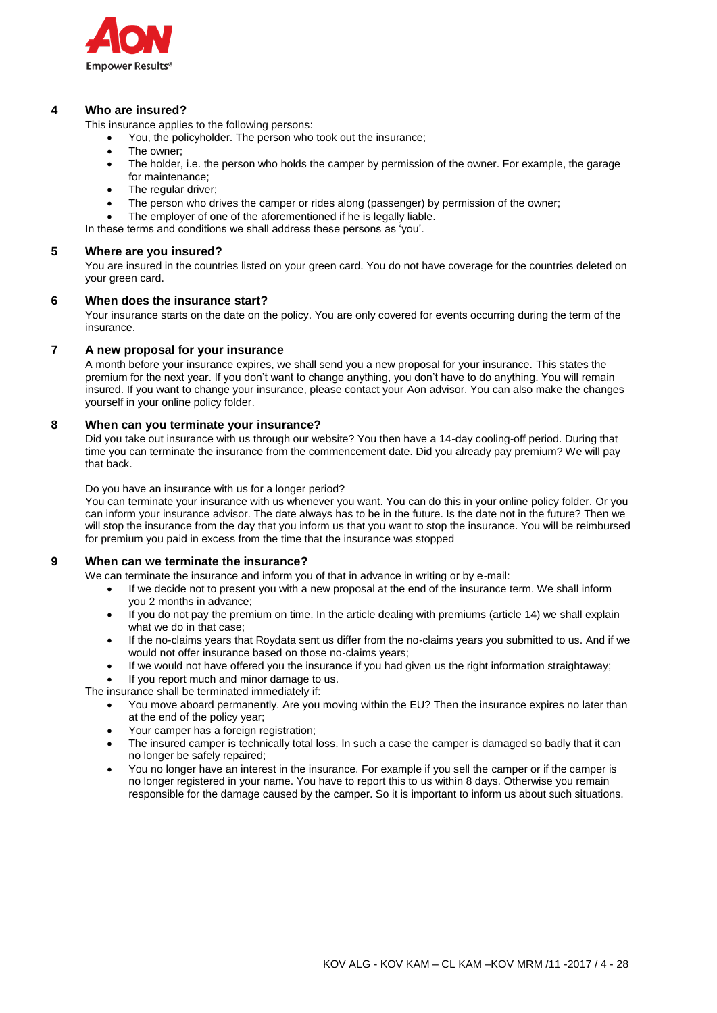

# **4 Who are insured?**

This insurance applies to the following persons:

- You, the policyholder. The person who took out the insurance;
- The owner;
- The holder, i.e. the person who holds the camper by permission of the owner. For example, the garage for maintenance;
- The regular driver;
- The person who drives the camper or rides along (passenger) by permission of the owner;
- The employer of one of the aforementioned if he is legally liable.
- In these terms and conditions we shall address these persons as 'you'.

# **5 Where are you insured?**

You are insured in the countries listed on your green card. You do not have coverage for the countries deleted on your green card.

# **6 When does the insurance start?**

Your insurance starts on the date on the policy. You are only covered for events occurring during the term of the insurance.

# **7 A new proposal for your insurance**

A month before your insurance expires, we shall send you a new proposal for your insurance. This states the premium for the next year. If you don't want to change anything, you don't have to do anything. You will remain insured. If you want to change your insurance, please contact your Aon advisor. You can also make the changes yourself in your online policy folder.

# **8 When can you terminate your insurance?**

Did you take out insurance with us through our website? You then have a 14-day cooling-off period. During that time you can terminate the insurance from the commencement date. Did you already pay premium? We will pay that back.

Do you have an insurance with us for a longer period?

You can terminate your insurance with us whenever you want. You can do this in your online policy folder. Or you can inform your insurance advisor. The date always has to be in the future. Is the date not in the future? Then we will stop the insurance from the day that you inform us that you want to stop the insurance. You will be reimbursed for premium you paid in excess from the time that the insurance was stopped

# **9 When can we terminate the insurance?**

We can terminate the insurance and inform you of that in advance in writing or by e-mail:

- If we decide not to present you with a new proposal at the end of the insurance term. We shall inform you 2 months in advance;
- If you do not pay the premium on time. In the article dealing with premiums (article 14) we shall explain what we do in that case;
- If the no-claims years that Roydata sent us differ from the no-claims years you submitted to us. And if we would not offer insurance based on those no-claims years;
- If we would not have offered you the insurance if you had given us the right information straightaway;

If you report much and minor damage to us.

The insurance shall be terminated immediately if:

- You move aboard permanently. Are you moving within the EU? Then the insurance expires no later than at the end of the policy year;
- Your camper has a foreign registration;
- The insured camper is technically total loss. In such a case the camper is damaged so badly that it can no longer be safely repaired;
- You no longer have an interest in the insurance. For example if you sell the camper or if the camper is no longer registered in your name. You have to report this to us within 8 days. Otherwise you remain responsible for the damage caused by the camper. So it is important to inform us about such situations.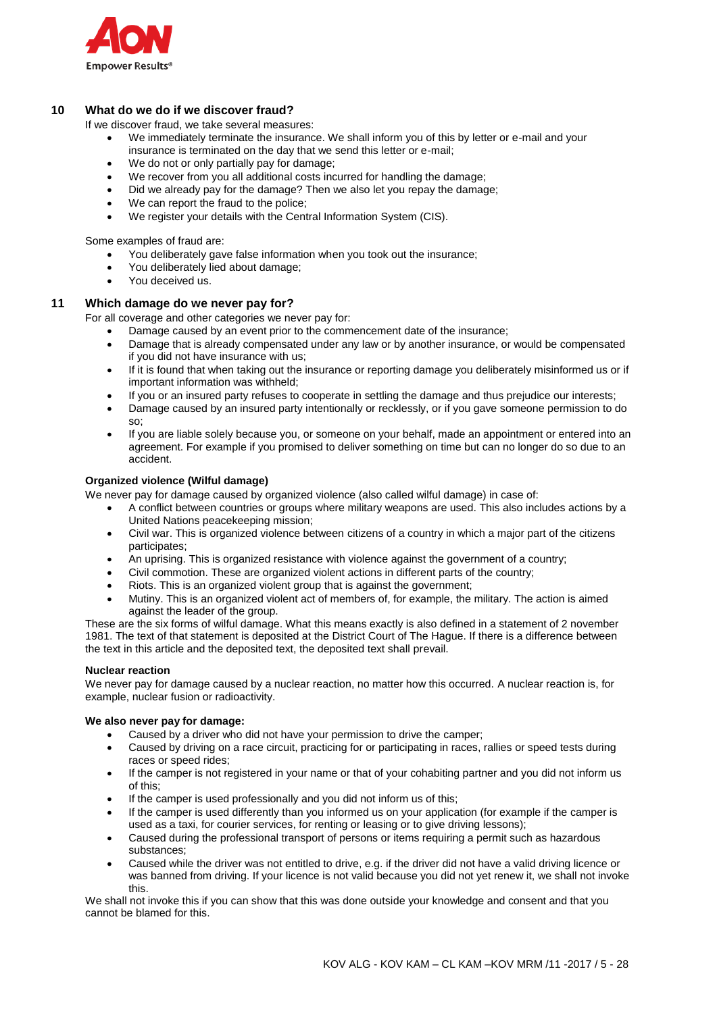

# **10 What do we do if we discover fraud?**

If we discover fraud, we take several measures:

- We immediately terminate the insurance. We shall inform you of this by letter or e-mail and your insurance is terminated on the day that we send this letter or e-mail;
- We do not or only partially pay for damage;
- We recover from you all additional costs incurred for handling the damage;
- Did we already pay for the damage? Then we also let you repay the damage;
- We can report the fraud to the police:
- We register your details with the Central Information System (CIS).

Some examples of fraud are:

- You deliberately gave false information when you took out the insurance;
- You deliberately lied about damage;
- You deceived us.

# **11 Which damage do we never pay for?**

For all coverage and other categories we never pay for:

- Damage caused by an event prior to the commencement date of the insurance;
- Damage that is already compensated under any law or by another insurance, or would be compensated if you did not have insurance with us;
- If it is found that when taking out the insurance or reporting damage you deliberately misinformed us or if important information was withheld;
- If you or an insured party refuses to cooperate in settling the damage and thus prejudice our interests;
- Damage caused by an insured party intentionally or recklessly, or if you gave someone permission to do so;
- If you are liable solely because you, or someone on your behalf, made an appointment or entered into an agreement. For example if you promised to deliver something on time but can no longer do so due to an accident.

# **Organized violence (Wilful damage)**

We never pay for damage caused by organized violence (also called wilful damage) in case of:

- A conflict between countries or groups where military weapons are used. This also includes actions by a United Nations peacekeeping mission;
- Civil war. This is organized violence between citizens of a country in which a major part of the citizens participates;
- An uprising. This is organized resistance with violence against the government of a country;
- Civil commotion. These are organized violent actions in different parts of the country;
- Riots. This is an organized violent group that is against the government;
- Mutiny. This is an organized violent act of members of, for example, the military. The action is aimed against the leader of the group.

These are the six forms of wilful damage. What this means exactly is also defined in a statement of 2 november 1981. The text of that statement is deposited at the District Court of The Hague. If there is a difference between the text in this article and the deposited text, the deposited text shall prevail.

#### **Nuclear reaction**

We never pay for damage caused by a nuclear reaction, no matter how this occurred. A nuclear reaction is, for example, nuclear fusion or radioactivity.

#### **We also never pay for damage:**

- Caused by a driver who did not have your permission to drive the camper;
- Caused by driving on a race circuit, practicing for or participating in races, rallies or speed tests during races or speed rides;
- If the camper is not registered in your name or that of your cohabiting partner and you did not inform us of this;
- If the camper is used professionally and you did not inform us of this;
- If the camper is used differently than you informed us on your application (for example if the camper is used as a taxi, for courier services, for renting or leasing or to give driving lessons);
- Caused during the professional transport of persons or items requiring a permit such as hazardous substances;
- Caused while the driver was not entitled to drive, e.g. if the driver did not have a valid driving licence or was banned from driving. If your licence is not valid because you did not yet renew it, we shall not invoke this.

We shall not invoke this if you can show that this was done outside your knowledge and consent and that you cannot be blamed for this.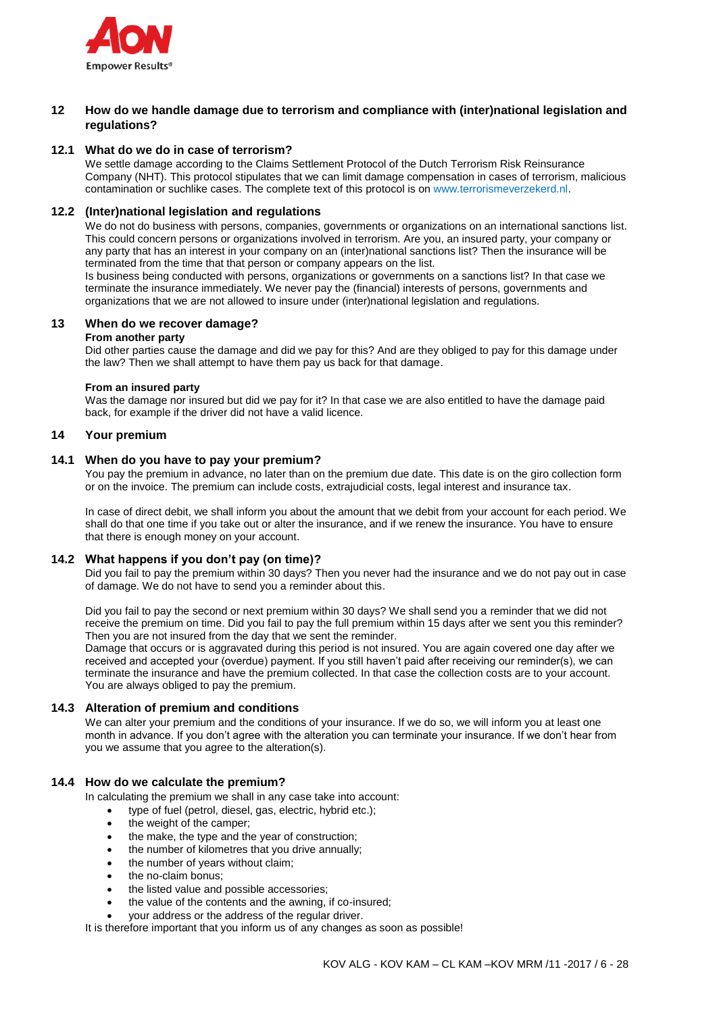

# **12 How do we handle damage due to terrorism and compliance with (inter)national legislation and regulations?**

# **12.1 What do we do in case of terrorism?**

We settle damage according to the Claims Settlement Protocol of the Dutch Terrorism Risk Reinsurance Company (NHT). This protocol stipulates that we can limit damage compensation in cases of terrorism, malicious contamination or suchlike cases. The complete text of this protocol is on [www.terrorismeverzekerd.nl.](http://www.terrorismeverzekerd.nl/)

#### **12.2 (Inter)national legislation and regulations**

We do not do business with persons, companies, governments or organizations on an international sanctions list. This could concern persons or organizations involved in terrorism. Are you, an insured party, your company or any party that has an interest in your company on an (inter)national sanctions list? Then the insurance will be terminated from the time that that person or company appears on the list.

Is business being conducted with persons, organizations or governments on a sanctions list? In that case we terminate the insurance immediately. We never pay the (financial) interests of persons, governments and organizations that we are not allowed to insure under (inter)national legislation and regulations.

# **13 When do we recover damage?**

#### **From another party**

Did other parties cause the damage and did we pay for this? And are they obliged to pay for this damage under the law? Then we shall attempt to have them pay us back for that damage.

#### **From an insured party**

Was the damage nor insured but did we pay for it? In that case we are also entitled to have the damage paid back, for example if the driver did not have a valid licence.

#### **14 Your premium**

#### **14.1 When do you have to pay your premium?**

You pay the premium in advance, no later than on the premium due date. This date is on the giro collection form or on the invoice. The premium can include costs, extrajudicial costs, legal interest and insurance tax.

In case of direct debit, we shall inform you about the amount that we debit from your account for each period. We shall do that one time if you take out or alter the insurance, and if we renew the insurance. You have to ensure that there is enough money on your account.

# **14.2 What happens if you don't pay (on time)?**

Did you fail to pay the premium within 30 days? Then you never had the insurance and we do not pay out in case of damage. We do not have to send you a reminder about this.

Did you fail to pay the second or next premium within 30 days? We shall send you a reminder that we did not receive the premium on time. Did you fail to pay the full premium within 15 days after we sent you this reminder? Then you are not insured from the day that we sent the reminder.

Damage that occurs or is aggravated during this period is not insured. You are again covered one day after we received and accepted your (overdue) payment. If you still haven't paid after receiving our reminder(s), we can terminate the insurance and have the premium collected. In that case the collection costs are to your account. You are always obliged to pay the premium.

#### **14.3 Alteration of premium and conditions**

We can alter your premium and the conditions of your insurance. If we do so, we will inform you at least one month in advance. If you don't agree with the alteration you can terminate your insurance. If we don't hear from you we assume that you agree to the alteration(s).

#### **14.4 How do we calculate the premium?**

In calculating the premium we shall in any case take into account:

- type of fuel (petrol, diesel, gas, electric, hybrid etc.);
- the weight of the camper;
- the make, the type and the year of construction;
- the number of kilometres that you drive annually;
- the number of years without claim;
- the no-claim bonus;
- the listed value and possible accessories;
- the value of the contents and the awning, if co-insured;
- your address or the address of the regular driver.

It is therefore important that you inform us of any changes as soon as possible!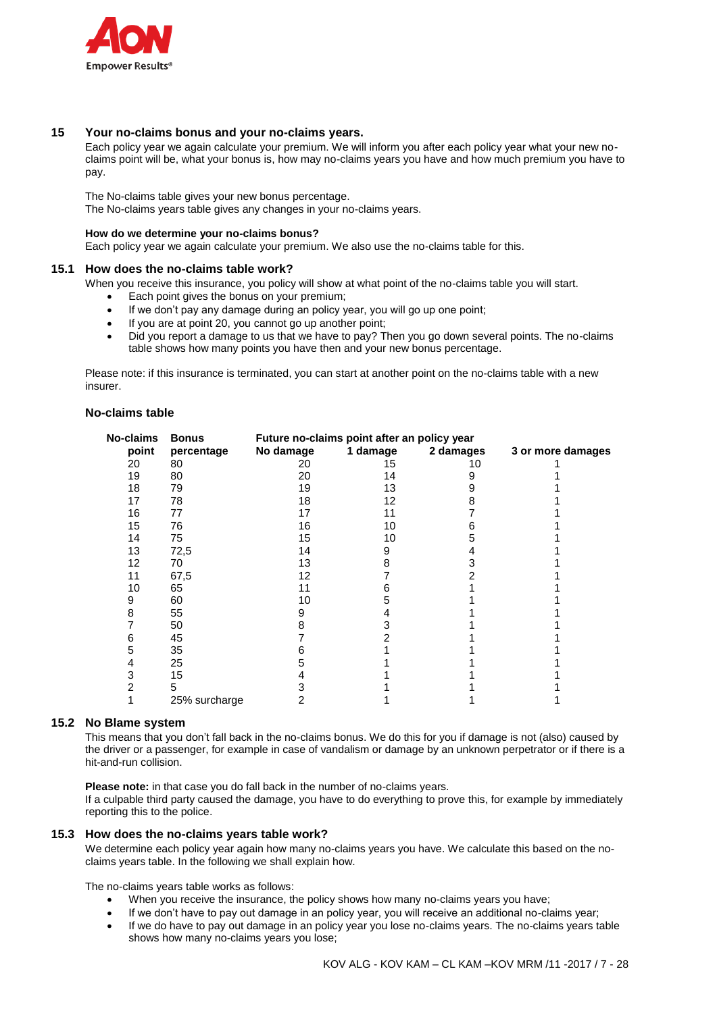

# **15 Your no-claims bonus and your no-claims years.**

Each policy year we again calculate your premium. We will inform you after each policy year what your new noclaims point will be, what your bonus is, how may no-claims years you have and how much premium you have to pay.

The No-claims table gives your new bonus percentage. The No-claims years table gives any changes in your no-claims years.

#### **How do we determine your no-claims bonus?**

Each policy year we again calculate your premium. We also use the no-claims table for this.

#### **15.1 How does the no-claims table work?**

When you receive this insurance, you policy will show at what point of the no-claims table you will start.

- Each point gives the bonus on your premium;
- If we don't pay any damage during an policy year, you will go up one point;
- If you are at point 20, you cannot go up another point;
- Did you report a damage to us that we have to pay? Then you go down several points. The no-claims table shows how many points you have then and your new bonus percentage.

Please note: if this insurance is terminated, you can start at another point on the no-claims table with a new insurer.

#### **No-claims table**

| <b>No-claims</b> | <b>Bonus</b>  |           |          |           |                   |
|------------------|---------------|-----------|----------|-----------|-------------------|
| point            | percentage    | No damage | 1 damage | 2 damages | 3 or more damages |
| 20               | 80            | 20        | 15       | 10        |                   |
| 19               | 80            | 20        | 14       |           |                   |
| 18               | 79            | 19        | 13       |           |                   |
| 17               | 78            | 18        | 12       |           |                   |
| 16               | 77            | 17        | 11       |           |                   |
| 15               | 76            | 16        | 10       |           |                   |
| 14               | 75            | 15        | 10       |           |                   |
| 13               | 72,5          | 14        | 9        |           |                   |
| 12               | 70            | 13        |          |           |                   |
| 11               | 67,5          | 12        |          |           |                   |
| 10               | 65            | 11        |          |           |                   |
| 9                | 60            | 10        |          |           |                   |
| 8                | 55            |           |          |           |                   |
|                  | 50            |           |          |           |                   |
| 6                | 45            |           |          |           |                   |
| 5                | 35            |           |          |           |                   |
| 4                | 25            |           |          |           |                   |
| 3                | 15            |           |          |           |                   |
| 2                | 5             | З         |          |           |                   |
|                  | 25% surcharge | 2         |          |           |                   |
|                  |               |           |          |           |                   |

#### **15.2 No Blame system**

This means that you don't fall back in the no-claims bonus. We do this for you if damage is not (also) caused by the driver or a passenger, for example in case of vandalism or damage by an unknown perpetrator or if there is a hit-and-run collision.

**Please note:** in that case you do fall back in the number of no-claims years. If a culpable third party caused the damage, you have to do everything to prove this, for example by immediately reporting this to the police.

#### **15.3 How does the no-claims years table work?**

We determine each policy year again how many no-claims years you have. We calculate this based on the noclaims years table. In the following we shall explain how.

The no-claims years table works as follows:

- When you receive the insurance, the policy shows how many no-claims years you have;
- If we don't have to pay out damage in an policy year, you will receive an additional no-claims year;
- If we do have to pay out damage in an policy year you lose no-claims years. The no-claims years table shows how many no-claims years you lose;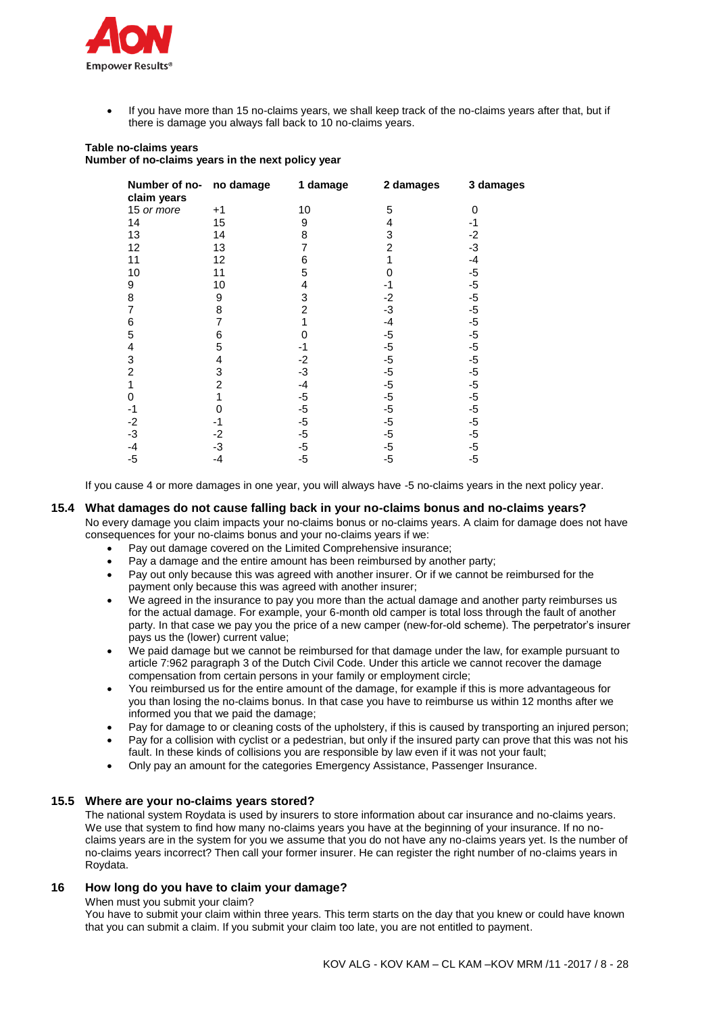

 If you have more than 15 no-claims years, we shall keep track of the no-claims years after that, but if there is damage you always fall back to 10 no-claims years.

#### **Table no-claims years Number of no-claims years in the next policy year**

| Number of no-<br>claim years | no damage | 1 damage | 2 damages      | 3 damages |
|------------------------------|-----------|----------|----------------|-----------|
| 15 or more                   | $+1$      | 10       | 5              | 0         |
| 14                           | 15        | 9        | 4              | -1        |
| 13                           | 14        | 8        | 3              | $-2$      |
| 12                           | 13        |          | $\overline{2}$ | $-3$      |
| 11                           | 12        | 6        |                | -4        |
| 10                           | 11        | 5        | Ω              | $-5$      |
| 9                            | 10        | 4        | -1             | -5        |
| 8                            | 9         | 3        | $-2$           | $-5$      |
| 7                            | 8         | 2        | $-3$           | $-5$      |
| 6                            | 7         |          | -4             | $-5$      |
| 5                            | 6         | 0        | $-5$           | $-5$      |
| 4                            | 5         | -1       | $-5$           | $-5$      |
| 3                            | 4         | $-2$     | $-5$           | $-5$      |
| $\overline{2}$               | 3         | $-3$     | $-5$           | $-5$      |
|                              | 2         | -4       | $-5$           | $-5$      |
| 0                            |           | $-5$     | $-5$           | $-5$      |
| -1                           | ი         | $-5$     | $-5$           | $-5$      |
| $-2$                         | -1        | $-5$     | $-5$           | $-5$      |
| -3                           | -2        | -5       | $-5$           | $-5$      |
| -4                           | -3        | -5       | $-5$           | $-5$      |
| $-5$                         | -4        | $-5$     | $-5$           | $-5$      |

If you cause 4 or more damages in one year, you will always have -5 no-claims years in the next policy year.

#### **15.4 What damages do not cause falling back in your no-claims bonus and no-claims years?** No every damage you claim impacts your no-claims bonus or no-claims years. A claim for damage does not have consequences for your no-claims bonus and your no-claims years if we:

- Pay out damage covered on the Limited Comprehensive insurance;
- Pay a damage and the entire amount has been reimbursed by another party;
- Pay out only because this was agreed with another insurer. Or if we cannot be reimbursed for the payment only because this was agreed with another insurer;
- We agreed in the insurance to pay you more than the actual damage and another party reimburses us for the actual damage. For example, your 6-month old camper is total loss through the fault of another party. In that case we pay you the price of a new camper (new-for-old scheme). The perpetrator's insurer pays us the (lower) current value;
- We paid damage but we cannot be reimbursed for that damage under the law, for example pursuant to article 7:962 paragraph 3 of the Dutch Civil Code. Under this article we cannot recover the damage compensation from certain persons in your family or employment circle;
- You reimbursed us for the entire amount of the damage, for example if this is more advantageous for you than losing the no-claims bonus. In that case you have to reimburse us within 12 months after we informed you that we paid the damage;
- Pay for damage to or cleaning costs of the upholstery, if this is caused by transporting an injured person;
- Pay for a collision with cyclist or a pedestrian, but only if the insured party can prove that this was not his fault. In these kinds of collisions you are responsible by law even if it was not your fault;
- Only pay an amount for the categories Emergency Assistance, Passenger Insurance.

#### **15.5 Where are your no-claims years stored?**

The national system Roydata is used by insurers to store information about car insurance and no-claims years. We use that system to find how many no-claims years you have at the beginning of your insurance. If no noclaims years are in the system for you we assume that you do not have any no-claims years yet. Is the number of no-claims years incorrect? Then call your former insurer. He can register the right number of no-claims years in Roydata.

#### **16 How long do you have to claim your damage?**

When must you submit your claim?

You have to submit your claim within three years. This term starts on the day that you knew or could have known that you can submit a claim. If you submit your claim too late, you are not entitled to payment.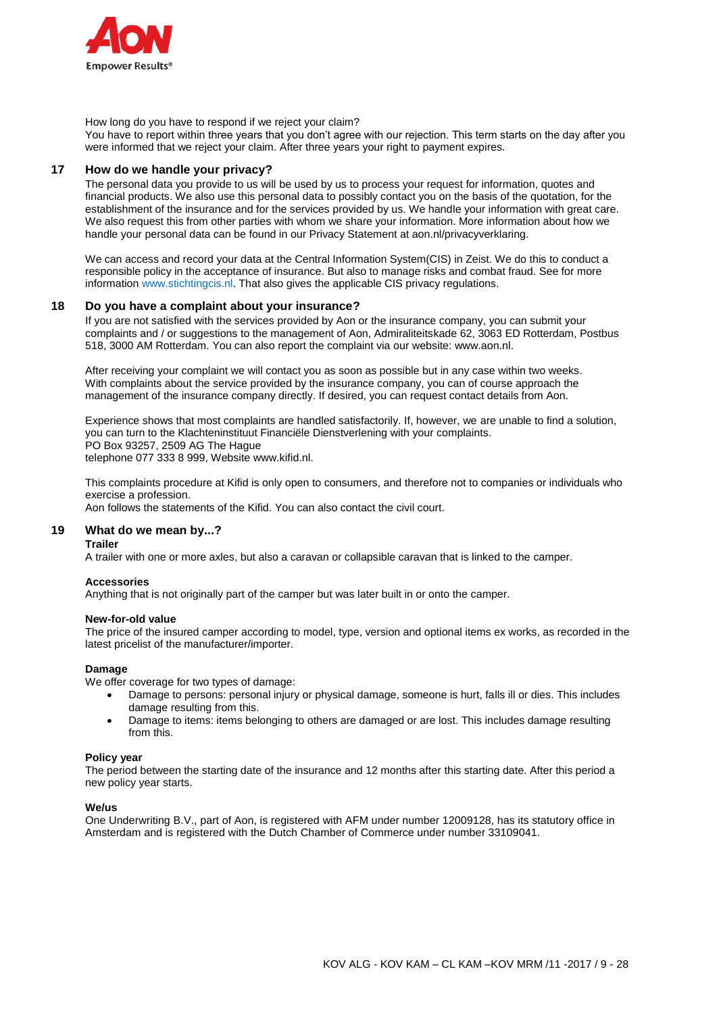

How long do you have to respond if we reject your claim?

You have to report within three years that you don't agree with our rejection. This term starts on the day after you were informed that we reject your claim. After three years your right to payment expires.

#### **17 How do we handle your privacy?**

The personal data you provide to us will be used by us to process your request for information, quotes and financial products. We also use this personal data to possibly contact you on the basis of the quotation, for the establishment of the insurance and for the services provided by us. We handle your information with great care. We also request this from other parties with whom we share your information. More information about how we handle your personal data can be found in our Privacy Statement at aon.nl/privacyverklaring.

We can access and record your data at the Central Information System(CIS) in Zeist. We do this to conduct a responsible policy in the acceptance of insurance. But also to manage risks and combat fraud. See for more information www.stichtingcis.nl. That also gives the applicable CIS privacy regulations.

#### **18 Do you have a complaint about your insurance?**

If you are not satisfied with the services provided by Aon or the insurance company, you can submit your complaints and / or suggestions to the management of Aon, Admiraliteitskade 62, 3063 ED Rotterdam, Postbus 518, 3000 AM Rotterdam. You can also report the complaint via our website: www.aon.nl.

After receiving your complaint we will contact you as soon as possible but in any case within two weeks. With complaints about the service provided by the insurance company, you can of course approach the management of the insurance company directly. If desired, you can request contact details from Aon.

Experience shows that most complaints are handled satisfactorily. If, however, we are unable to find a solution, you can turn to the Klachteninstituut Financiële Dienstverlening with your complaints. PO Box 93257, 2509 AG The Hague telephone 077 333 8 999, Website www.kifid.nl.

This complaints procedure at Kifid is only open to consumers, and therefore not to companies or individuals who exercise a profession.

Aon follows the statements of the Kifid. You can also contact the civil court.

#### **19 What do we mean by...?**

**Trailer** 

A trailer with one or more axles, but also a caravan or collapsible caravan that is linked to the camper.

#### **Accessories**

Anything that is not originally part of the camper but was later built in or onto the camper.

#### **New-for-old value**

The price of the insured camper according to model, type, version and optional items ex works, as recorded in the latest pricelist of the manufacturer/importer.

#### **Damage**

We offer coverage for two types of damage:

- Damage to persons: personal injury or physical damage, someone is hurt, falls ill or dies. This includes damage resulting from this.
- Damage to items: items belonging to others are damaged or are lost. This includes damage resulting from this.

#### **Policy year**

The period between the starting date of the insurance and 12 months after this starting date. After this period a new policy year starts.

#### **We/us**

One Underwriting B.V., part of Aon, is registered with AFM under number 12009128, has its statutory office in Amsterdam and is registered with the Dutch Chamber of Commerce under number 33109041.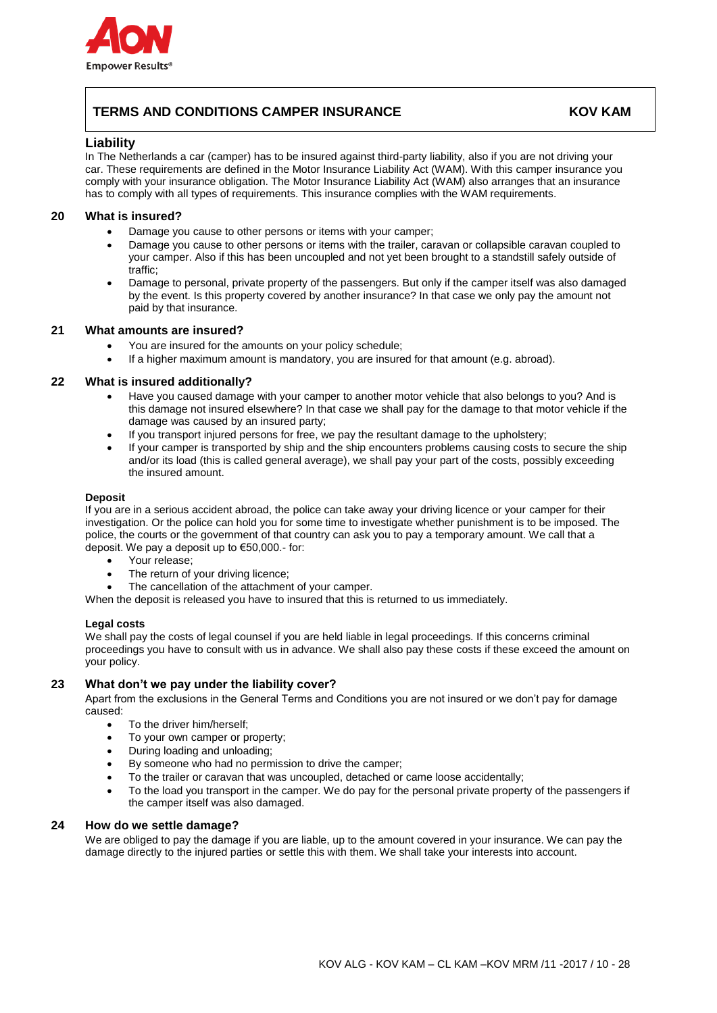

# **TERMS AND CONDITIONS CAMPER INSURANCE KOV KAM**

# **Liability**

In The Netherlands a car (camper) has to be insured against third-party liability, also if you are not driving your car. These requirements are defined in the Motor Insurance Liability Act (WAM). With this camper insurance you comply with your insurance obligation. The Motor Insurance Liability Act (WAM) also arranges that an insurance has to comply with all types of requirements. This insurance complies with the WAM requirements.

# **20 What is insured?**

- Damage you cause to other persons or items with your camper;
- Damage you cause to other persons or items with the trailer, caravan or collapsible caravan coupled to your camper. Also if this has been uncoupled and not yet been brought to a standstill safely outside of traffic;
- Damage to personal, private property of the passengers. But only if the camper itself was also damaged by the event. Is this property covered by another insurance? In that case we only pay the amount not paid by that insurance.

# **21 What amounts are insured?**

- You are insured for the amounts on your policy schedule;
- If a higher maximum amount is mandatory, you are insured for that amount (e.g. abroad).

# **22 What is insured additionally?**

- Have you caused damage with your camper to another motor vehicle that also belongs to you? And is this damage not insured elsewhere? In that case we shall pay for the damage to that motor vehicle if the damage was caused by an insured party;
- If you transport injured persons for free, we pay the resultant damage to the upholstery;
- If your camper is transported by ship and the ship encounters problems causing costs to secure the ship and/or its load (this is called general average), we shall pay your part of the costs, possibly exceeding the insured amount.

#### **Deposit**

If you are in a serious accident abroad, the police can take away your driving licence or your camper for their investigation. Or the police can hold you for some time to investigate whether punishment is to be imposed. The police, the courts or the government of that country can ask you to pay a temporary amount. We call that a deposit. We pay a deposit up to €50,000.- for:

- Your release;
- The return of your driving licence;
- The cancellation of the attachment of your camper.

When the deposit is released you have to insured that this is returned to us immediately.

#### **Legal costs**

We shall pay the costs of legal counsel if you are held liable in legal proceedings. If this concerns criminal proceedings you have to consult with us in advance. We shall also pay these costs if these exceed the amount on your policy.

# **23 What don't we pay under the liability cover?**

Apart from the exclusions in the General Terms and Conditions you are not insured or we don't pay for damage caused:

- To the driver him/herself;
- To your own camper or property;
- During loading and unloading;
- By someone who had no permission to drive the camper;
- To the trailer or caravan that was uncoupled, detached or came loose accidentally;
- To the load you transport in the camper. We do pay for the personal private property of the passengers if the camper itself was also damaged.

# **24 How do we settle damage?**

We are obliged to pay the damage if you are liable, up to the amount covered in your insurance. We can pay the damage directly to the injured parties or settle this with them. We shall take your interests into account.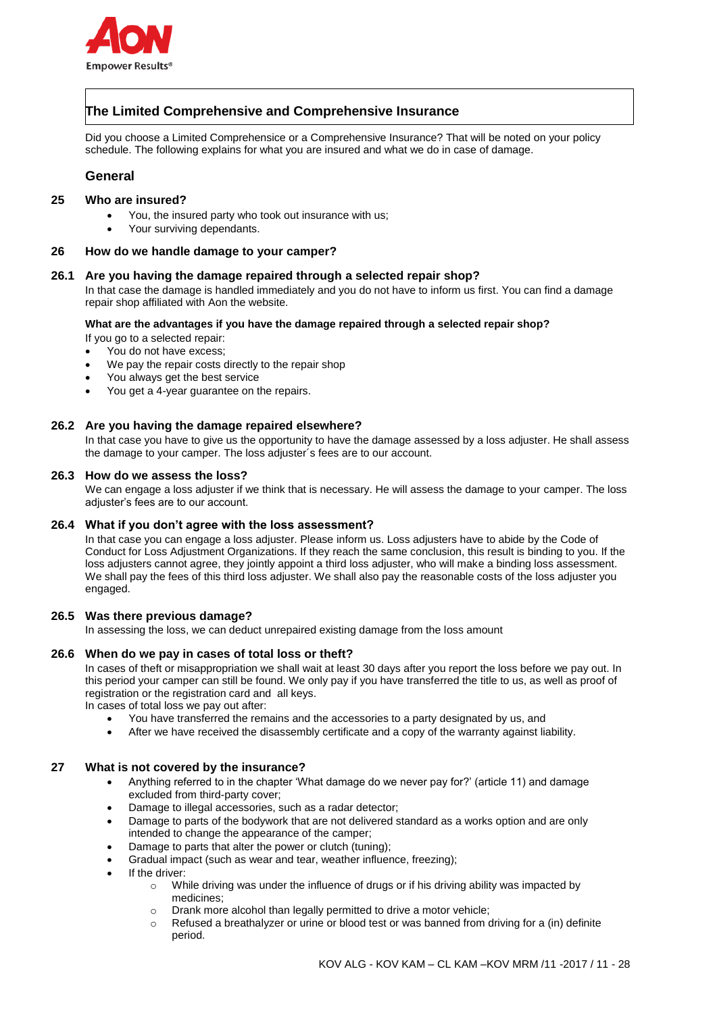

# **The Limited Comprehensive and Comprehensive Insurance**

Did you choose a Limited Comprehensice or a Comprehensive Insurance? That will be noted on your policy schedule. The following explains for what you are insured and what we do in case of damage.

# **General**

# **25 Who are insured?**

- You, the insured party who took out insurance with us;
- Your surviving dependants.

#### **26 How do we handle damage to your camper?**

#### **26.1 Are you having the damage repaired through a selected repair shop?**

In that case the damage is handled immediately and you do not have to inform us first. You can find a damage repair shop affiliated with Aon the website.

#### **What are the advantages if you have the damage repaired through a selected repair shop?**

- If you go to a selected repair:
- You do not have excess;
- We pay the repair costs directly to the repair shop
- You always get the best service
- You get a 4-year guarantee on the repairs.

# **26.2 Are you having the damage repaired elsewhere?**

In that case you have to give us the opportunity to have the damage assessed by a loss adjuster. He shall assess the damage to your camper. The loss adjuster´s fees are to our account.

#### **26.3 How do we assess the loss?**

We can engage a loss adjuster if we think that is necessary. He will assess the damage to your camper. The loss adjuster's fees are to our account.

#### **26.4 What if you don't agree with the loss assessment?**

In that case you can engage a loss adjuster. Please inform us. Loss adjusters have to abide by the Code of Conduct for Loss Adjustment Organizations. If they reach the same conclusion, this result is binding to you. If the loss adjusters cannot agree, they jointly appoint a third loss adjuster, who will make a binding loss assessment. We shall pay the fees of this third loss adjuster. We shall also pay the reasonable costs of the loss adjuster you engaged.

#### **26.5 Was there previous damage?**

In assessing the loss, we can deduct unrepaired existing damage from the loss amount

#### **26.6 When do we pay in cases of total loss or theft?**

In cases of theft or misappropriation we shall wait at least 30 days after you report the loss before we pay out. In this period your camper can still be found. We only pay if you have transferred the title to us, as well as proof of registration or the registration card and all keys.

In cases of total loss we pay out after:

- You have transferred the remains and the accessories to a party designated by us, and
- After we have received the disassembly certificate and a copy of the warranty against liability.

#### **27 What is not covered by the insurance?**

- Anything referred to in the chapter 'What damage do we never pay for?' (article 11) and damage excluded from third-party cover;
- Damage to illegal accessories, such as a radar detector;
- Damage to parts of the bodywork that are not delivered standard as a works option and are only intended to change the appearance of the camper;
- Damage to parts that alter the power or clutch (tuning);
- Gradual impact (such as wear and tear, weather influence, freezing);
- If the driver:
	- o While driving was under the influence of drugs or if his driving ability was impacted by medicines;
	- o Drank more alcohol than legally permitted to drive a motor vehicle;
	- $\circ$  Refused a breathalyzer or urine or blood test or was banned from driving for a (in) definite period.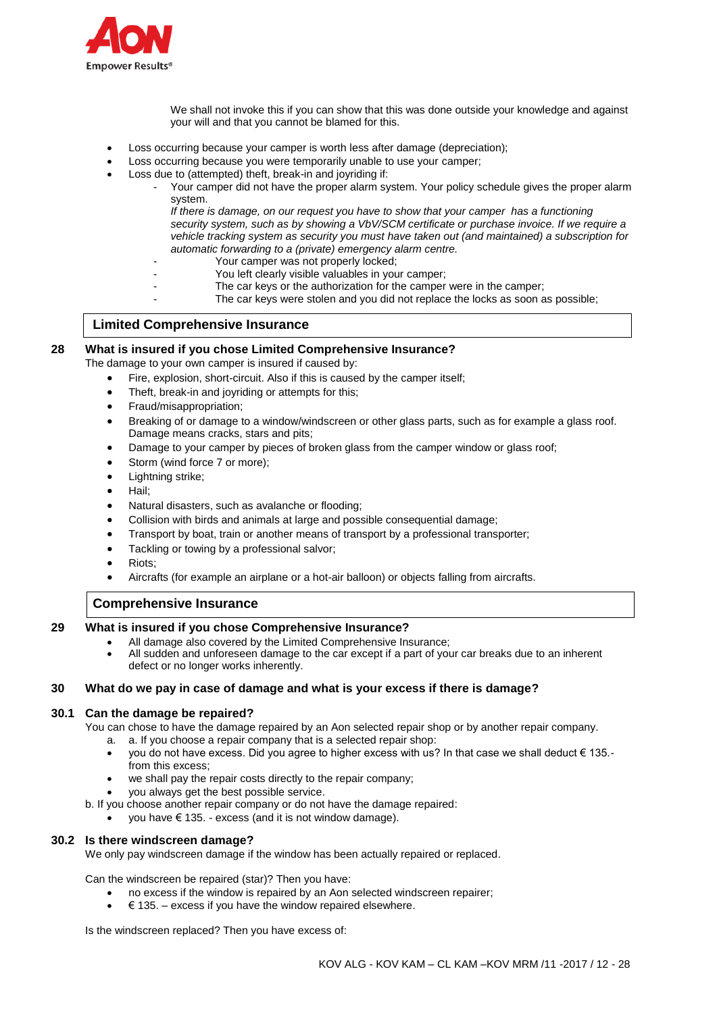

We shall not invoke this if you can show that this was done outside your knowledge and against your will and that you cannot be blamed for this.

- Loss occurring because your camper is worth less after damage (depreciation);
- Loss occurring because you were temporarily unable to use your camper;
- Loss due to (attempted) theft, break-in and joyriding if:
	- Your camper did not have the proper alarm system. Your policy schedule gives the proper alarm system.
		- *If there is damage, on our request you have to show that your camper has a functioning security system, such as by showing a VbV/SCM certificate or purchase invoice. If we require a vehicle tracking system as security you must have taken out (and maintained) a subscription for automatic forwarding to a (private) emergency alarm centre.*
	- Your camper was not properly locked;
	- You left clearly visible valuables in your camper;
		- The car keys or the authorization for the camper were in the camper;
		- The car keys were stolen and you did not replace the locks as soon as possible;

# **Limited Comprehensive Insurance**

# **28 What is insured if you chose Limited Comprehensive Insurance?**

The damage to your own camper is insured if caused by:

- Fire, explosion, short-circuit. Also if this is caused by the camper itself;
- Theft, break-in and joyriding or attempts for this;
- Fraud/misappropriation;
- Breaking of or damage to a window/windscreen or other glass parts, such as for example a glass roof. Damage means cracks, stars and pits;
- Damage to your camper by pieces of broken glass from the camper window or glass roof;
- Storm (wind force 7 or more);
- Lightning strike;
- Hail;
- Natural disasters, such as avalanche or flooding;
- Collision with birds and animals at large and possible consequential damage;
- Transport by boat, train or another means of transport by a professional transporter;
- Tackling or towing by a professional salvor;
- Riots;
- Aircrafts (for example an airplane or a hot-air balloon) or objects falling from aircrafts.

# **Comprehensive Insurance**

# **29 What is insured if you chose Comprehensive Insurance?**

- All damage also covered by the Limited Comprehensive Insurance;
- All sudden and unforeseen damage to the car except if a part of your car breaks due to an inherent defect or no longer works inherently.

# **30 What do we pay in case of damage and what is your excess if there is damage?**

# **30.1 Can the damage be repaired?**

You can chose to have the damage repaired by an Aon selected repair shop or by another repair company.

- a. a. If you choose a repair company that is a selected repair shop:
- you do not have excess. Did you agree to higher excess with us? In that case we shall deduct € 135. from this excess;
- we shall pay the repair costs directly to the repair company;
- you always get the best possible service.
- b. If you choose another repair company or do not have the damage repaired:
	- you have € 135. excess (and it is not window damage).

# **30.2 Is there windscreen damage?**

We only pay windscreen damage if the window has been actually repaired or replaced.

Can the windscreen be repaired (star)? Then you have:

- no excess if the window is repaired by an Aon selected windscreen repairer;
- $\epsilon$  135. excess if you have the window repaired elsewhere.

Is the windscreen replaced? Then you have excess of: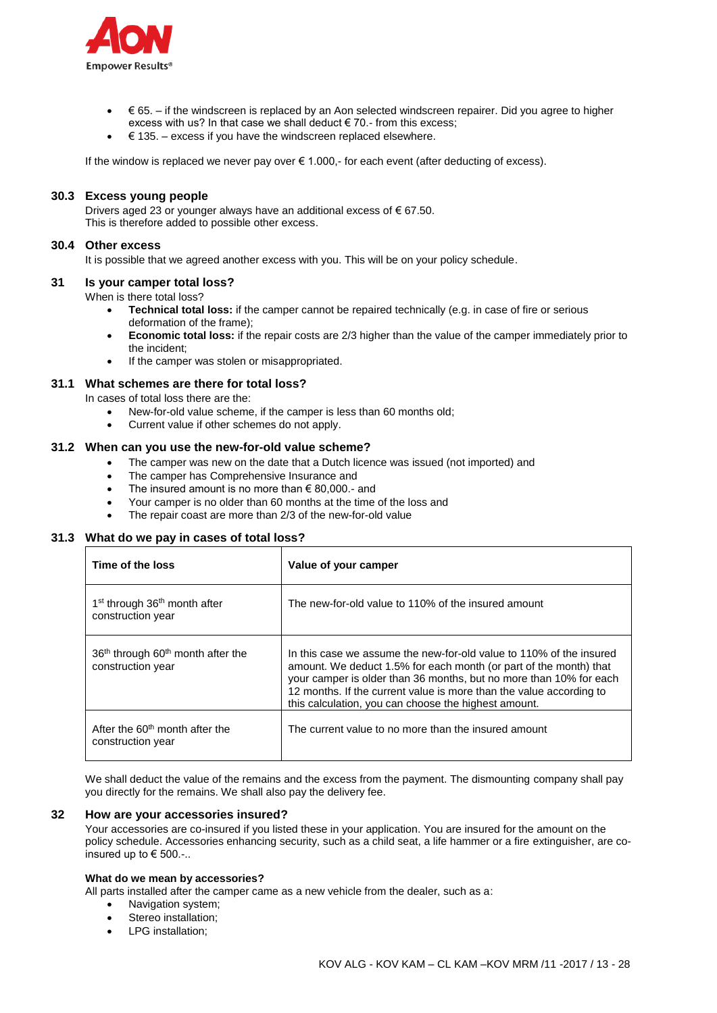

- € 65. if the windscreen is replaced by an Aon selected windscreen repairer. Did you agree to higher excess with us? In that case we shall deduct  $\epsilon$  70.- from this excess;
- € 135. excess if you have the windscreen replaced elsewhere.

If the window is replaced we never pay over  $\epsilon$  1.000,- for each event (after deducting of excess).

# **30.3 Excess young people**

Drivers aged 23 or younger always have an additional excess of € 67.50. This is therefore added to possible other excess.

#### **30.4 Other excess**

It is possible that we agreed another excess with you. This will be on your policy schedule.

# **31 Is your camper total loss?**

When is there total loss?

- **Technical total loss:** if the camper cannot be repaired technically (e.g. in case of fire or serious deformation of the frame);
- **Economic total loss:** if the repair costs are 2/3 higher than the value of the camper immediately prior to the incident;
- If the camper was stolen or misappropriated.

# **31.1 What schemes are there for total loss?**

In cases of total loss there are the:

- New-for-old value scheme, if the camper is less than 60 months old;
- Current value if other schemes do not apply.

#### **31.2 When can you use the new-for-old value scheme?**

- The camper was new on the date that a Dutch licence was issued (not imported) and
- The camper has Comprehensive Insurance and
- The insured amount is no more than  $\epsilon$  80,000.- and
- Your camper is no older than 60 months at the time of the loss and
- The repair coast are more than 2/3 of the new-for-old value

# **31.3 What do we pay in cases of total loss?**

| Time of the loss                                                               | Value of your camper                                                                                                                                                                                                                                                                                                                          |
|--------------------------------------------------------------------------------|-----------------------------------------------------------------------------------------------------------------------------------------------------------------------------------------------------------------------------------------------------------------------------------------------------------------------------------------------|
| 1 <sup>st</sup> through 36 <sup>th</sup> month after<br>construction year      | The new-for-old value to 110% of the insured amount                                                                                                                                                                                                                                                                                           |
| 36 <sup>th</sup> through 60 <sup>th</sup> month after the<br>construction year | In this case we assume the new-for-old value to 110% of the insured<br>amount. We deduct 1.5% for each month (or part of the month) that<br>your camper is older than 36 months, but no more than 10% for each<br>12 months. If the current value is more than the value according to<br>this calculation, you can choose the highest amount. |
| After the $60th$ month after the<br>construction year                          | The current value to no more than the insured amount                                                                                                                                                                                                                                                                                          |

We shall deduct the value of the remains and the excess from the payment. The dismounting company shall pay you directly for the remains. We shall also pay the delivery fee.

# **32 How are your accessories insured?**

Your accessories are co-insured if you listed these in your application. You are insured for the amount on the policy schedule. Accessories enhancing security, such as a child seat, a life hammer or a fire extinguisher, are coinsured up to  $\epsilon$  500.-..

#### **What do we mean by accessories?**

All parts installed after the camper came as a new vehicle from the dealer, such as a:

- Navigation system;
- Stereo installation;
- LPG installation;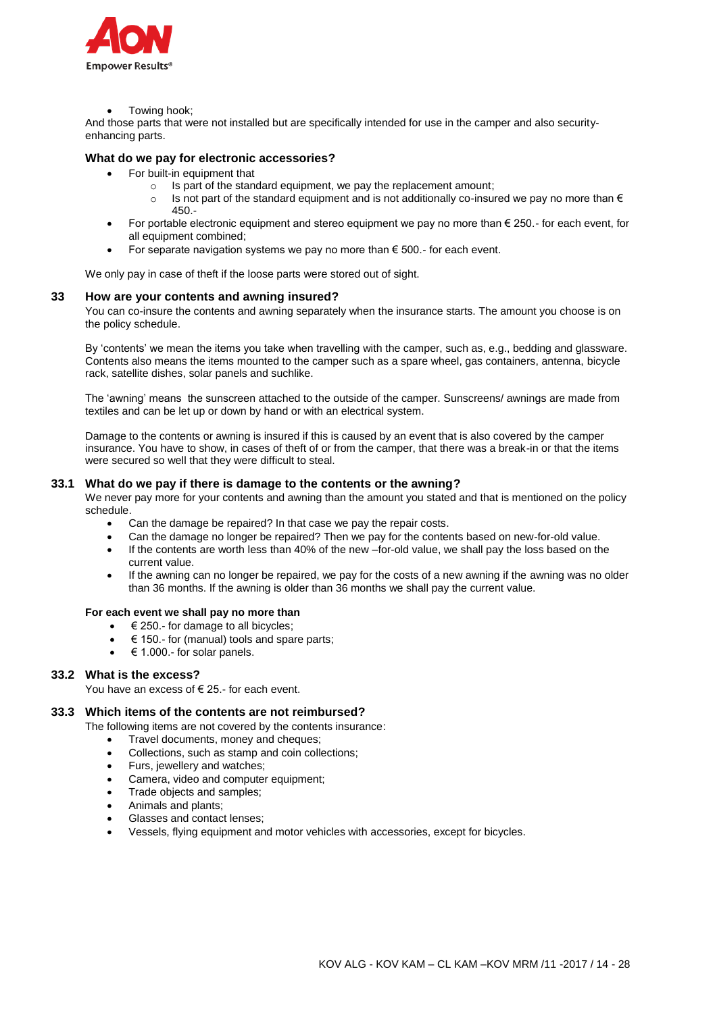

Towing hook;

And those parts that were not installed but are specifically intended for use in the camper and also securityenhancing parts.

#### **What do we pay for electronic accessories?**

- For built-in equipment that
	- $\circ$  Is part of the standard equipment, we pay the replacement amount;
	- $\circ$  Is not part of the standard equipment and is not additionally co-insured we pay no more than € 450.-
- For portable electronic equipment and stereo equipment we pay no more than  $\epsilon$  250.- for each event, for all equipment combined;
- For separate navigation systems we pay no more than  $\epsilon$  500.- for each event.

We only pay in case of theft if the loose parts were stored out of sight.

#### **33 How are your contents and awning insured?**

You can co-insure the contents and awning separately when the insurance starts. The amount you choose is on the policy schedule.

By 'contents' we mean the items you take when travelling with the camper, such as, e.g., bedding and glassware. Contents also means the items mounted to the camper such as a spare wheel, gas containers, antenna, bicycle rack, satellite dishes, solar panels and suchlike.

The 'awning' means the sunscreen attached to the outside of the camper. Sunscreens/ awnings are made from textiles and can be let up or down by hand or with an electrical system.

Damage to the contents or awning is insured if this is caused by an event that is also covered by the camper insurance. You have to show, in cases of theft of or from the camper, that there was a break-in or that the items were secured so well that they were difficult to steal.

#### **33.1 What do we pay if there is damage to the contents or the awning?**

We never pay more for your contents and awning than the amount you stated and that is mentioned on the policy schedule.

- Can the damage be repaired? In that case we pay the repair costs.
- Can the damage no longer be repaired? Then we pay for the contents based on new-for-old value.
- If the contents are worth less than 40% of the new –for-old value, we shall pay the loss based on the current value.
- If the awning can no longer be repaired, we pay for the costs of a new awning if the awning was no older than 36 months. If the awning is older than 36 months we shall pay the current value.

#### **For each event we shall pay no more than**

- $\bullet \quad \in$  250.- for damage to all bicycles;
- € 150.- for (manual) tools and spare parts;
- $\bullet \quad \in 1.000$ .- for solar panels.

#### **33.2 What is the excess?**

You have an excess of € 25.- for each event.

#### **33.3 Which items of the contents are not reimbursed?**

The following items are not covered by the contents insurance:

- Travel documents, money and cheques;
- Collections, such as stamp and coin collections;
- Furs, jewellery and watches;
- Camera, video and computer equipment;
- Trade objects and samples;
- Animals and plants;
- Glasses and contact lenses;
- Vessels, flying equipment and motor vehicles with accessories, except for bicycles.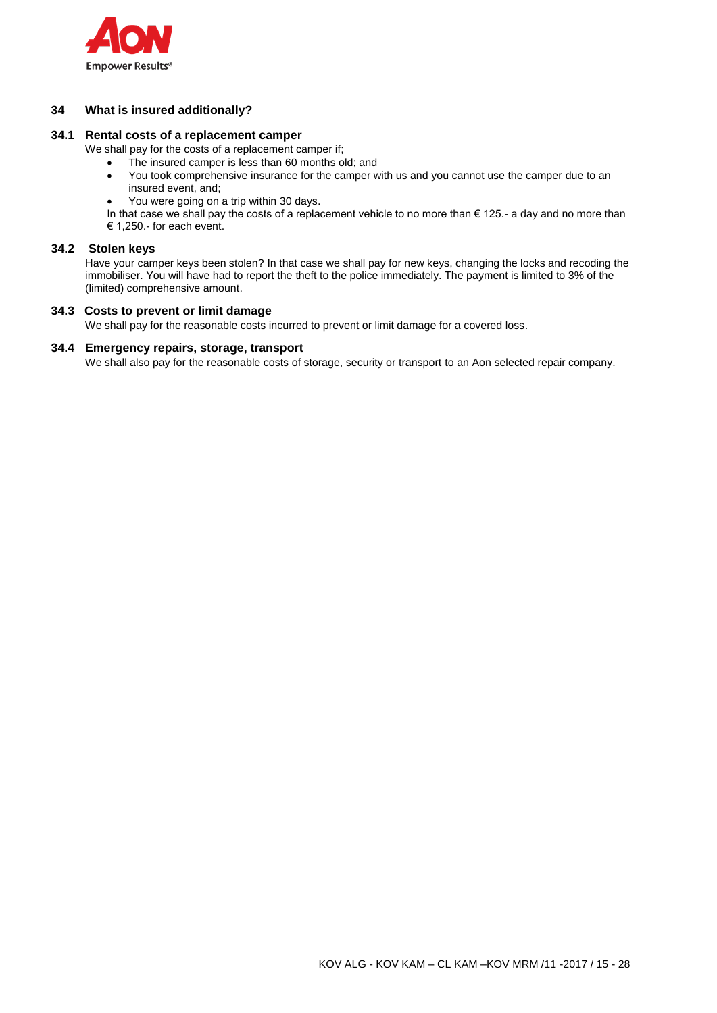

# **34 What is insured additionally?**

# **34.1 Rental costs of a replacement camper**

We shall pay for the costs of a replacement camper if;

- The insured camper is less than 60 months old; and
- You took comprehensive insurance for the camper with us and you cannot use the camper due to an insured event, and;
- You were going on a trip within 30 days.

In that case we shall pay the costs of a replacement vehicle to no more than € 125.- a day and no more than  $\epsilon$  1,250.- for each event.

#### **34.2 Stolen keys**

Have your camper keys been stolen? In that case we shall pay for new keys, changing the locks and recoding the immobiliser. You will have had to report the theft to the police immediately. The payment is limited to 3% of the (limited) comprehensive amount.

# **34.3 Costs to prevent or limit damage**

We shall pay for the reasonable costs incurred to prevent or limit damage for a covered loss.

# **34.4 Emergency repairs, storage, transport**

We shall also pay for the reasonable costs of storage, security or transport to an Aon selected repair company.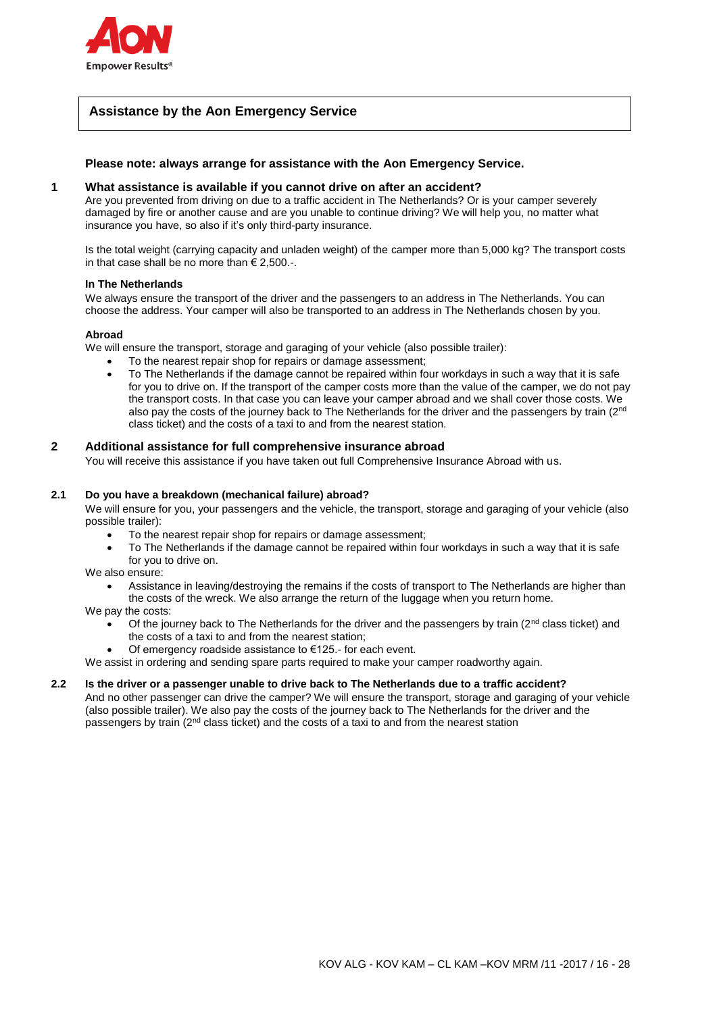

# **Assistance by the Aon Emergency Service**

# **Please note: always arrange for assistance with the Aon Emergency Service.**

#### **1 What assistance is available if you cannot drive on after an accident?**

Are you prevented from driving on due to a traffic accident in The Netherlands? Or is your camper severely damaged by fire or another cause and are you unable to continue driving? We will help you, no matter what insurance you have, so also if it's only third-party insurance.

Is the total weight (carrying capacity and unladen weight) of the camper more than 5,000 kg? The transport costs in that case shall be no more than  $\epsilon$  2.500.-.

#### **In The Netherlands**

We always ensure the transport of the driver and the passengers to an address in The Netherlands. You can choose the address. Your camper will also be transported to an address in The Netherlands chosen by you.

#### **Abroad**

We will ensure the transport, storage and garaging of your vehicle (also possible trailer):

- To the nearest repair shop for repairs or damage assessment;
- To The Netherlands if the damage cannot be repaired within four workdays in such a way that it is safe for you to drive on. If the transport of the camper costs more than the value of the camper, we do not pay the transport costs. In that case you can leave your camper abroad and we shall cover those costs. We also pay the costs of the journey back to The Netherlands for the driver and the passengers by train (2<sup>nd</sup>) class ticket) and the costs of a taxi to and from the nearest station.

#### **2 Additional assistance for full comprehensive insurance abroad**

You will receive this assistance if you have taken out full Comprehensive Insurance Abroad with us.

#### **2.1 Do you have a breakdown (mechanical failure) abroad?**

We will ensure for you, your passengers and the vehicle, the transport, storage and garaging of your vehicle (also possible trailer):

- To the nearest repair shop for repairs or damage assessment;
- To The Netherlands if the damage cannot be repaired within four workdays in such a way that it is safe for you to drive on.

We also ensure:

- Assistance in leaving/destroying the remains if the costs of transport to The Netherlands are higher than the costs of the wreck. We also arrange the return of the luggage when you return home.
- We pay the costs:
	- Of the journey back to The Netherlands for the driver and the passengers by train ( $2<sup>nd</sup>$  class ticket) and the costs of a taxi to and from the nearest station;
	- Of emergency roadside assistance to €125.- for each event.

We assist in ordering and sending spare parts required to make your camper roadworthy again.

# **2.2 Is the driver or a passenger unable to drive back to The Netherlands due to a traffic accident?**

And no other passenger can drive the camper? We will ensure the transport, storage and garaging of your vehicle (also possible trailer). We also pay the costs of the journey back to The Netherlands for the driver and the passengers by train  $(2<sup>nd</sup>$  class ticket) and the costs of a taxi to and from the nearest station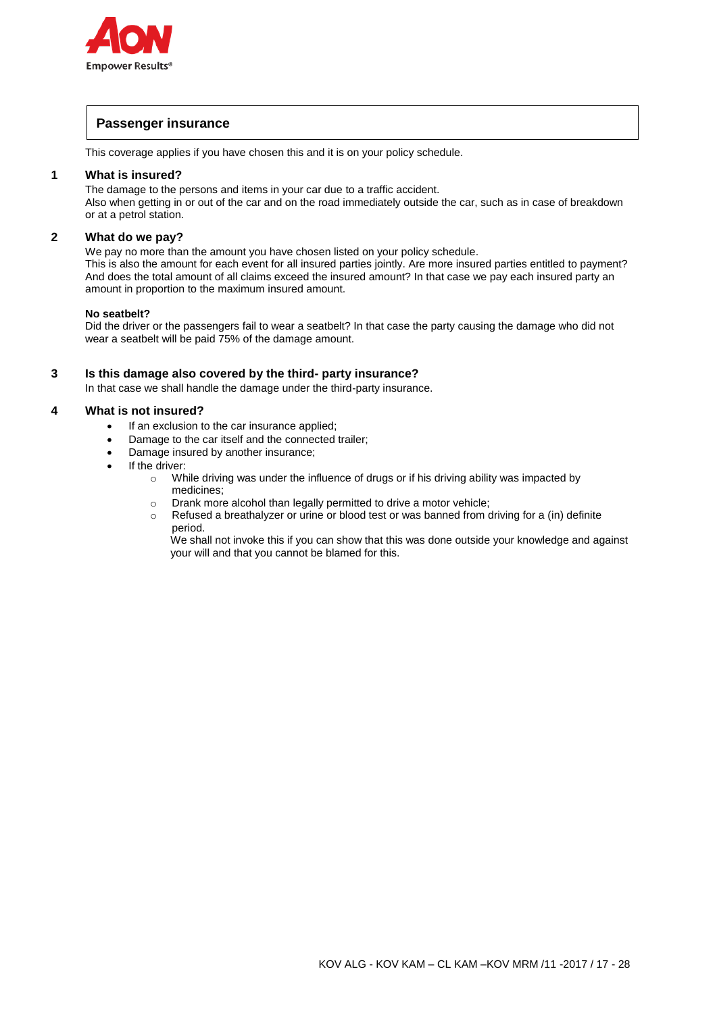

# **Passenger insurance**

This coverage applies if you have chosen this and it is on your policy schedule.

# **1 What is insured?**

The damage to the persons and items in your car due to a traffic accident. Also when getting in or out of the car and on the road immediately outside the car, such as in case of breakdown or at a petrol station.

# **2 What do we pay?**

We pay no more than the amount you have chosen listed on your policy schedule. This is also the amount for each event for all insured parties jointly. Are more insured parties entitled to payment? And does the total amount of all claims exceed the insured amount? In that case we pay each insured party an amount in proportion to the maximum insured amount.

#### **No seatbelt?**

Did the driver or the passengers fail to wear a seatbelt? In that case the party causing the damage who did not wear a seatbelt will be paid 75% of the damage amount.

# **3 Is this damage also covered by the third- party insurance?**

In that case we shall handle the damage under the third-party insurance.

# **4 What is not insured?**

- If an exclusion to the car insurance applied;
- Damage to the car itself and the connected trailer;
- Damage insured by another insurance;
- If the driver:
	- $\circ$  While driving was under the influence of drugs or if his driving ability was impacted by medicines;
	- o Drank more alcohol than legally permitted to drive a motor vehicle;
	- $\circ$  Refused a breathalyzer or urine or blood test or was banned from driving for a (in) definite period.
		- We shall not invoke this if you can show that this was done outside your knowledge and against your will and that you cannot be blamed for this.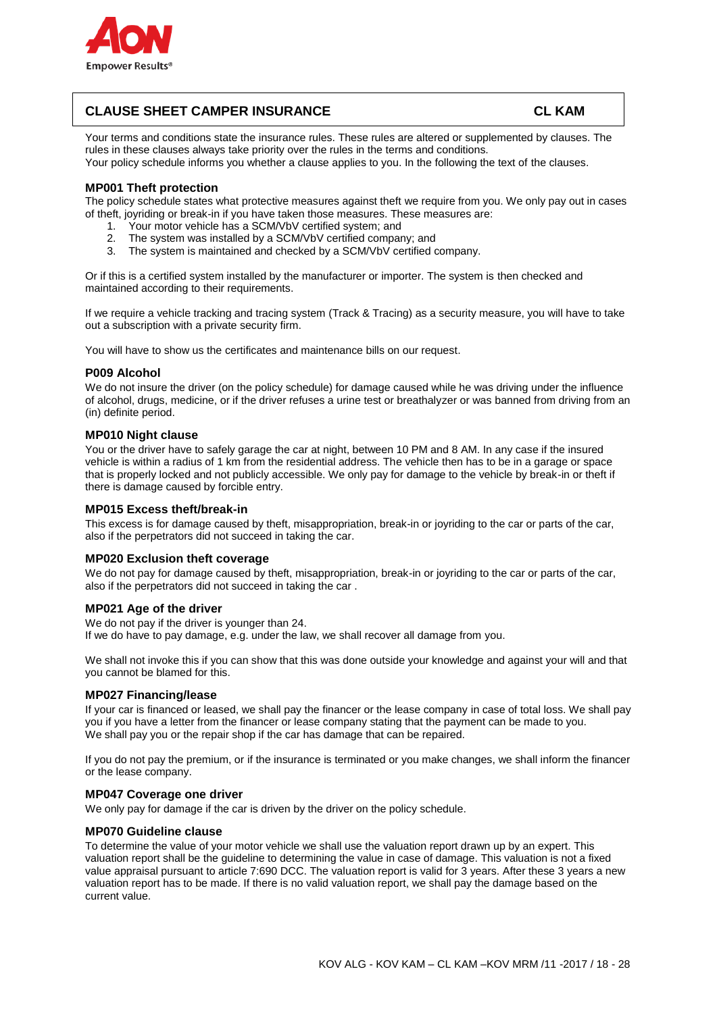

# **CLAUSE SHEET CAMPER INSURANCE CL KAM**

Your terms and conditions state the insurance rules. These rules are altered or supplemented by clauses. The rules in these clauses always take priority over the rules in the terms and conditions.

Your policy schedule informs you whether a clause applies to you. In the following the text of the clauses.

# **MP001 Theft protection**

The policy schedule states what protective measures against theft we require from you. We only pay out in cases of theft, joyriding or break-in if you have taken those measures. These measures are:

- 1. Your motor vehicle has a SCM/VbV certified system; and
- 2. The system was installed by a SCM/VbV certified company; and
- 3. The system is maintained and checked by a SCM/VbV certified company.

Or if this is a certified system installed by the manufacturer or importer. The system is then checked and maintained according to their requirements.

If we require a vehicle tracking and tracing system (Track & Tracing) as a security measure, you will have to take out a subscription with a private security firm.

You will have to show us the certificates and maintenance bills on our request.

# **P009 Alcohol**

We do not insure the driver (on the policy schedule) for damage caused while he was driving under the influence of alcohol, drugs, medicine, or if the driver refuses a urine test or breathalyzer or was banned from driving from an (in) definite period.

# **MP010 Night clause**

You or the driver have to safely garage the car at night, between 10 PM and 8 AM. In any case if the insured vehicle is within a radius of 1 km from the residential address. The vehicle then has to be in a garage or space that is properly locked and not publicly accessible. We only pay for damage to the vehicle by break-in or theft if there is damage caused by forcible entry.

#### **MP015 Excess theft/break-in**

This excess is for damage caused by theft, misappropriation, break-in or joyriding to the car or parts of the car, also if the perpetrators did not succeed in taking the car.

#### **MP020 Exclusion theft coverage**

We do not pay for damage caused by theft, misappropriation, break-in or joyriding to the car or parts of the car, also if the perpetrators did not succeed in taking the car .

# **MP021 Age of the driver**

We do not pay if the driver is younger than 24.

If we do have to pay damage, e.g. under the law, we shall recover all damage from you.

We shall not invoke this if you can show that this was done outside your knowledge and against your will and that you cannot be blamed for this.

#### **MP027 Financing/lease**

If your car is financed or leased, we shall pay the financer or the lease company in case of total loss. We shall pay you if you have a letter from the financer or lease company stating that the payment can be made to you. We shall pay you or the repair shop if the car has damage that can be repaired.

If you do not pay the premium, or if the insurance is terminated or you make changes, we shall inform the financer or the lease company.

#### **MP047 Coverage one driver**

We only pay for damage if the car is driven by the driver on the policy schedule.

#### **MP070 Guideline clause**

To determine the value of your motor vehicle we shall use the valuation report drawn up by an expert. This valuation report shall be the guideline to determining the value in case of damage. This valuation is not a fixed value appraisal pursuant to article 7:690 DCC. The valuation report is valid for 3 years. After these 3 years a new valuation report has to be made. If there is no valid valuation report, we shall pay the damage based on the current value.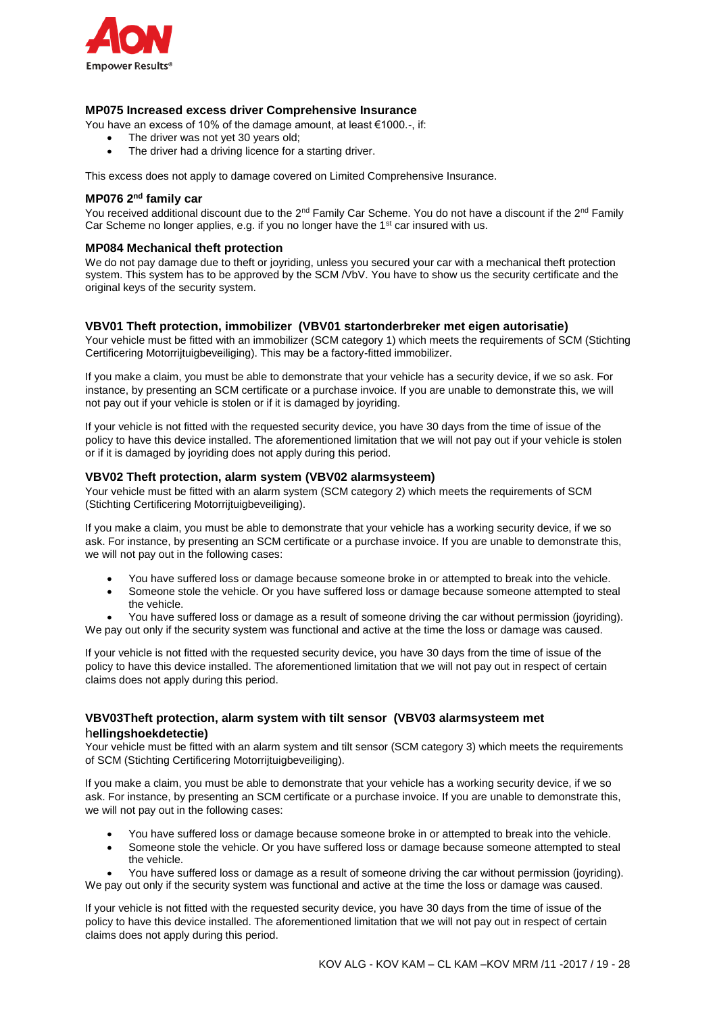

# **MP075 Increased excess driver Comprehensive Insurance**

You have an excess of 10% of the damage amount, at least €1000.-, if:

- The driver was not yet 30 years old;
- The driver had a driving licence for a starting driver.

This excess does not apply to damage covered on Limited Comprehensive Insurance.

# **MP076 2nd family car**

You received additional discount due to the 2<sup>nd</sup> Family Car Scheme. You do not have a discount if the 2<sup>nd</sup> Family Car Scheme no longer applies, e.g. if you no longer have the  $1<sup>st</sup>$  car insured with us.

#### **MP084 Mechanical theft protection**

We do not pay damage due to theft or joyriding, unless you secured your car with a mechanical theft protection system. This system has to be approved by the SCM /VbV. You have to show us the security certificate and the original keys of the security system.

# **VBV01 Theft protection, immobilizer (VBV01 startonderbreker met eigen autorisatie)**

Your vehicle must be fitted with an immobilizer (SCM category 1) which meets the requirements of SCM (Stichting Certificering Motorrijtuigbeveiliging). This may be a factory-fitted immobilizer.

If you make a claim, you must be able to demonstrate that your vehicle has a security device, if we so ask. For instance, by presenting an SCM certificate or a purchase invoice. If you are unable to demonstrate this, we will not pay out if your vehicle is stolen or if it is damaged by joyriding.

If your vehicle is not fitted with the requested security device, you have 30 days from the time of issue of the policy to have this device installed. The aforementioned limitation that we will not pay out if your vehicle is stolen or if it is damaged by joyriding does not apply during this period.

# **VBV02 Theft protection, alarm system (VBV02 alarmsysteem)**

Your vehicle must be fitted with an alarm system (SCM category 2) which meets the requirements of SCM (Stichting Certificering Motorrijtuigbeveiliging).

If you make a claim, you must be able to demonstrate that your vehicle has a working security device, if we so ask. For instance, by presenting an SCM certificate or a purchase invoice. If you are unable to demonstrate this, we will not pay out in the following cases:

- You have suffered loss or damage because someone broke in or attempted to break into the vehicle.
- Someone stole the vehicle. Or you have suffered loss or damage because someone attempted to steal the vehicle.

 You have suffered loss or damage as a result of someone driving the car without permission (joyriding). We pay out only if the security system was functional and active at the time the loss or damage was caused.

If your vehicle is not fitted with the requested security device, you have 30 days from the time of issue of the policy to have this device installed. The aforementioned limitation that we will not pay out in respect of certain claims does not apply during this period.

# **VBV03Theft protection, alarm system with tilt sensor (VBV03 alarmsysteem met** h**ellingshoekdetectie)**

Your vehicle must be fitted with an alarm system and tilt sensor (SCM category 3) which meets the requirements of SCM (Stichting Certificering Motorrijtuigbeveiliging).

If you make a claim, you must be able to demonstrate that your vehicle has a working security device, if we so ask. For instance, by presenting an SCM certificate or a purchase invoice. If you are unable to demonstrate this, we will not pay out in the following cases:

- You have suffered loss or damage because someone broke in or attempted to break into the vehicle.
- Someone stole the vehicle. Or you have suffered loss or damage because someone attempted to steal the vehicle.

 You have suffered loss or damage as a result of someone driving the car without permission (joyriding). We pay out only if the security system was functional and active at the time the loss or damage was caused.

If your vehicle is not fitted with the requested security device, you have 30 days from the time of issue of the policy to have this device installed. The aforementioned limitation that we will not pay out in respect of certain claims does not apply during this period.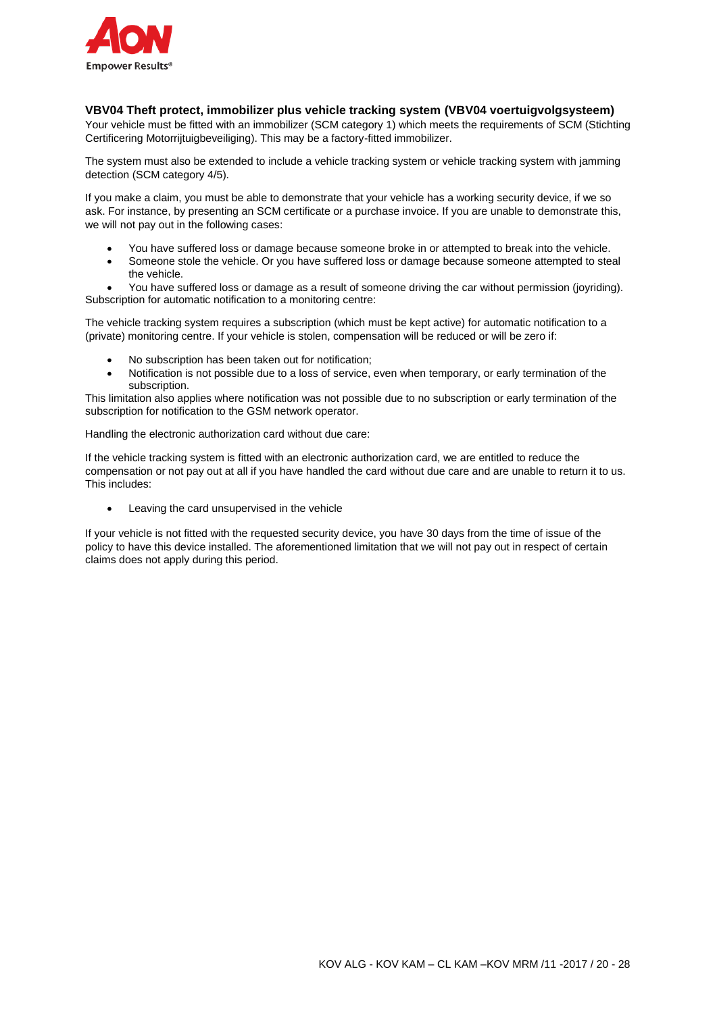

# **VBV04 Theft protect, immobilizer plus vehicle tracking system (VBV04 voertuigvolgsysteem)**

Your vehicle must be fitted with an immobilizer (SCM category 1) which meets the requirements of SCM (Stichting Certificering Motorrijtuigbeveiliging). This may be a factory-fitted immobilizer.

The system must also be extended to include a vehicle tracking system or vehicle tracking system with jamming detection (SCM category 4/5).

If you make a claim, you must be able to demonstrate that your vehicle has a working security device, if we so ask. For instance, by presenting an SCM certificate or a purchase invoice. If you are unable to demonstrate this, we will not pay out in the following cases:

- You have suffered loss or damage because someone broke in or attempted to break into the vehicle.
- Someone stole the vehicle. Or you have suffered loss or damage because someone attempted to steal the vehicle.

 You have suffered loss or damage as a result of someone driving the car without permission (joyriding). Subscription for automatic notification to a monitoring centre:

The vehicle tracking system requires a subscription (which must be kept active) for automatic notification to a (private) monitoring centre. If your vehicle is stolen, compensation will be reduced or will be zero if:

- No subscription has been taken out for notification;
- Notification is not possible due to a loss of service, even when temporary, or early termination of the subscription.

This limitation also applies where notification was not possible due to no subscription or early termination of the subscription for notification to the GSM network operator.

Handling the electronic authorization card without due care:

If the vehicle tracking system is fitted with an electronic authorization card, we are entitled to reduce the compensation or not pay out at all if you have handled the card without due care and are unable to return it to us. This includes:

Leaving the card unsupervised in the vehicle

If your vehicle is not fitted with the requested security device, you have 30 days from the time of issue of the policy to have this device installed. The aforementioned limitation that we will not pay out in respect of certain claims does not apply during this period.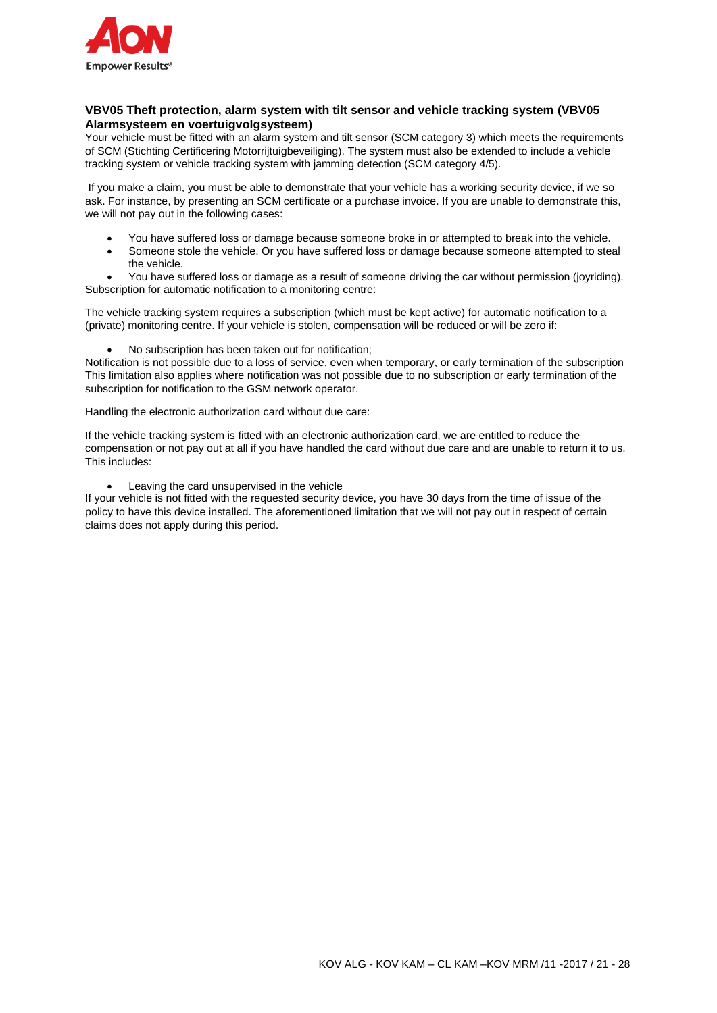

# **VBV05 Theft protection, alarm system with tilt sensor and vehicle tracking system (VBV05 Alarmsysteem en voertuigvolgsysteem)**

Your vehicle must be fitted with an alarm system and tilt sensor (SCM category 3) which meets the requirements of SCM (Stichting Certificering Motorrijtuigbeveiliging). The system must also be extended to include a vehicle tracking system or vehicle tracking system with jamming detection (SCM category 4/5).

If you make a claim, you must be able to demonstrate that your vehicle has a working security device, if we so ask. For instance, by presenting an SCM certificate or a purchase invoice. If you are unable to demonstrate this, we will not pay out in the following cases:

- You have suffered loss or damage because someone broke in or attempted to break into the vehicle.
- Someone stole the vehicle. Or you have suffered loss or damage because someone attempted to steal the vehicle.

 You have suffered loss or damage as a result of someone driving the car without permission (joyriding). Subscription for automatic notification to a monitoring centre:

The vehicle tracking system requires a subscription (which must be kept active) for automatic notification to a (private) monitoring centre. If your vehicle is stolen, compensation will be reduced or will be zero if:

No subscription has been taken out for notification;

Notification is not possible due to a loss of service, even when temporary, or early termination of the subscription This limitation also applies where notification was not possible due to no subscription or early termination of the subscription for notification to the GSM network operator.

Handling the electronic authorization card without due care:

If the vehicle tracking system is fitted with an electronic authorization card, we are entitled to reduce the compensation or not pay out at all if you have handled the card without due care and are unable to return it to us. This includes:

Leaving the card unsupervised in the vehicle

If your vehicle is not fitted with the requested security device, you have 30 days from the time of issue of the policy to have this device installed. The aforementioned limitation that we will not pay out in respect of certain claims does not apply during this period.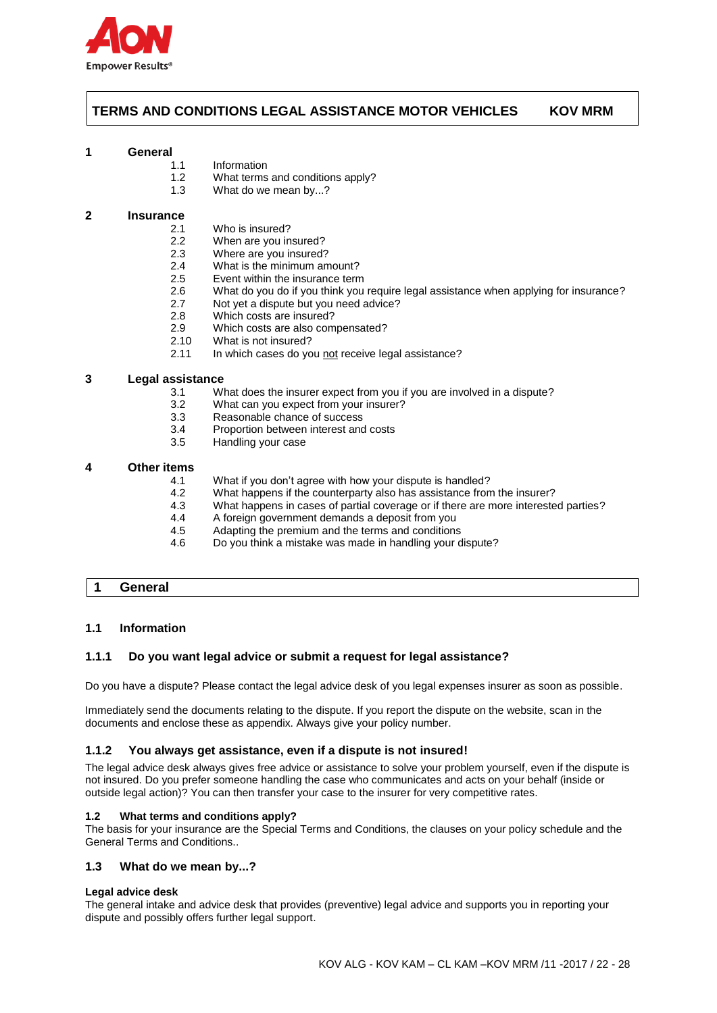

# **TERMS AND CONDITIONS LEGAL ASSISTANCE MOTOR VEHICLES KOV MRM**

# **1 General**

- 1.1 Information
	- 1.2 What terms and conditions apply?
	- 1.3 What do we mean by...?

#### **2 Insurance**

- 2.1 Who is insured?
- 2.2 When are you insured?
- 2.3 Where are you insured?
- 2.4 What is the minimum amount?
- 2.5 Event within the insurance term
- 2.6 What do you do if you think you require legal assistance when applying for insurance?
- 2.7 Not yet a dispute but you need advice?
- 2.8 Which costs are insured?
- 2.9 Which costs are also compensated?
- 2.10 What is not insured?
- 2.11 In which cases do you not receive legal assistance?

# **3 Legal assistance**

- 3.1 What does the insurer expect from you if you are involved in a dispute?
- 3.2 What can you expect from your insurer?<br>3.3 Reasonable chance of success
- Reasonable chance of success
- 3.4 Proportion between interest and costs
- 3.5 Handling your case

# **4 Other items**

- 4.1 What if you don't agree with how your dispute is handled?<br>4.2 What happens if the counterparty also has assistance fron
- What happens if the counterparty also has assistance from the insurer?
- 4.3 What happens in cases of partial coverage or if there are more interested parties?<br>4.4 A foreign government demands a deposit from you
- 4.4 A foreign government demands a deposit from you
- 4.5 Adapting the premium and the terms and conditions
- 4.6 Do you think a mistake was made in handling your dispute?

# **1 General**

#### **1.1 Information**

# **1.1.1 Do you want legal advice or submit a request for legal assistance?**

Do you have a dispute? Please contact the legal advice desk of you legal expenses insurer as soon as possible.

Immediately send the documents relating to the dispute. If you report the dispute on the website, scan in the documents and enclose these as appendix. Always give your policy number.

#### **1.1.2 You always get assistance, even if a dispute is not insured!**

The legal advice desk always gives free advice or assistance to solve your problem yourself, even if the dispute is not insured. Do you prefer someone handling the case who communicates and acts on your behalf (inside or outside legal action)? You can then transfer your case to the insurer for very competitive rates.

#### **1.2 What terms and conditions apply?**

The basis for your insurance are the Special Terms and Conditions, the clauses on your policy schedule and the General Terms and Conditions..

#### **1.3 What do we mean by...?**

#### **Legal advice desk**

The general intake and advice desk that provides (preventive) legal advice and supports you in reporting your dispute and possibly offers further legal support.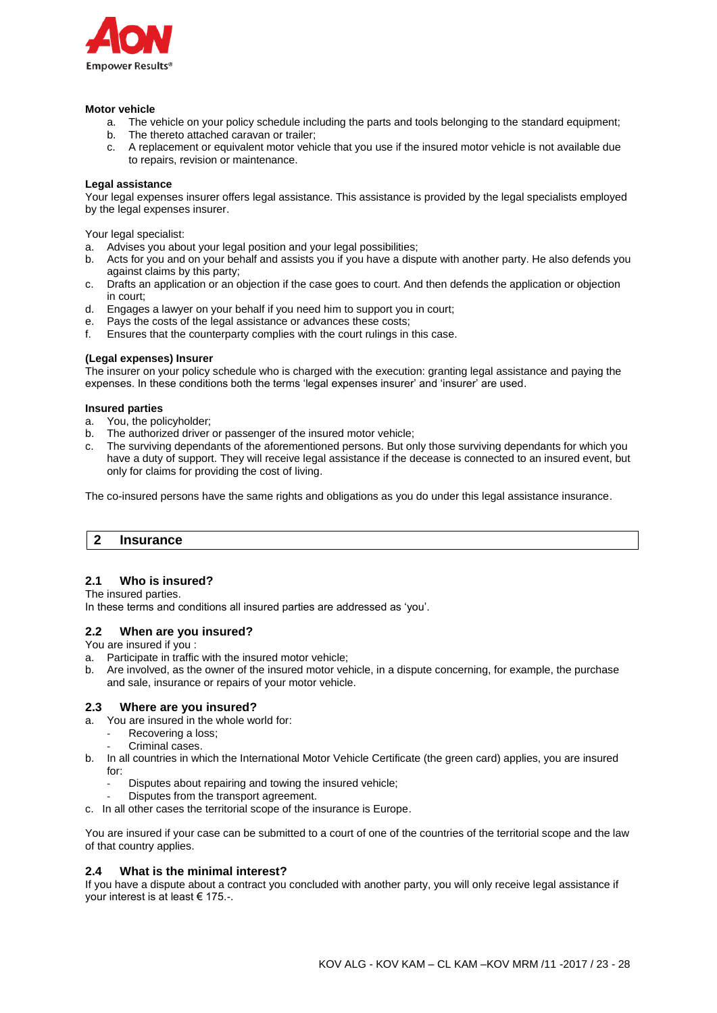

#### **Motor vehicle**

- a. The vehicle on your policy schedule including the parts and tools belonging to the standard equipment;
- b. The thereto attached caravan or trailer;
- c. A replacement or equivalent motor vehicle that you use if the insured motor vehicle is not available due to repairs, revision or maintenance.

#### **Legal assistance**

Your legal expenses insurer offers legal assistance. This assistance is provided by the legal specialists employed by the legal expenses insurer.

Your legal specialist:

- a. Advises you about your legal position and your legal possibilities;
- b. Acts for you and on your behalf and assists you if you have a dispute with another party. He also defends you against claims by this party;
- c. Drafts an application or an objection if the case goes to court. And then defends the application or objection in court;
- d. Engages a lawyer on your behalf if you need him to support you in court;
- e. Pays the costs of the legal assistance or advances these costs;
- f. Ensures that the counterparty complies with the court rulings in this case.

# **(Legal expenses) Insurer**

The insurer on your policy schedule who is charged with the execution: granting legal assistance and paying the expenses. In these conditions both the terms 'legal expenses insurer' and 'insurer' are used.

# **Insured parties**

- a. You, the policyholder;
- b. The authorized driver or passenger of the insured motor vehicle;
- c. The surviving dependants of the aforementioned persons. But only those surviving dependants for which you have a duty of support. They will receive legal assistance if the decease is connected to an insured event, but only for claims for providing the cost of living.

The co-insured persons have the same rights and obligations as you do under this legal assistance insurance.

# **2 Insurance**

# **2.1 Who is insured?**

The insured parties.

In these terms and conditions all insured parties are addressed as 'you'.

# **2.2 When are you insured?**

You are insured if you :

- a. Participate in traffic with the insured motor vehicle;
- b. Are involved, as the owner of the insured motor vehicle, in a dispute concerning, for example, the purchase and sale, insurance or repairs of your motor vehicle.

# **2.3 Where are you insured?**

- a. You are insured in the whole world for:
	- Recovering a loss:
	- Criminal cases.
- b. In all countries in which the International Motor Vehicle Certificate (the green card) applies, you are insured for:
	- Disputes about repairing and towing the insured vehicle;
	- Disputes from the transport agreement.
- c. In all other cases the territorial scope of the insurance is Europe.

You are insured if your case can be submitted to a court of one of the countries of the territorial scope and the law of that country applies.

# **2.4 What is the minimal interest?**

If you have a dispute about a contract you concluded with another party, you will only receive legal assistance if your interest is at least € 175.-.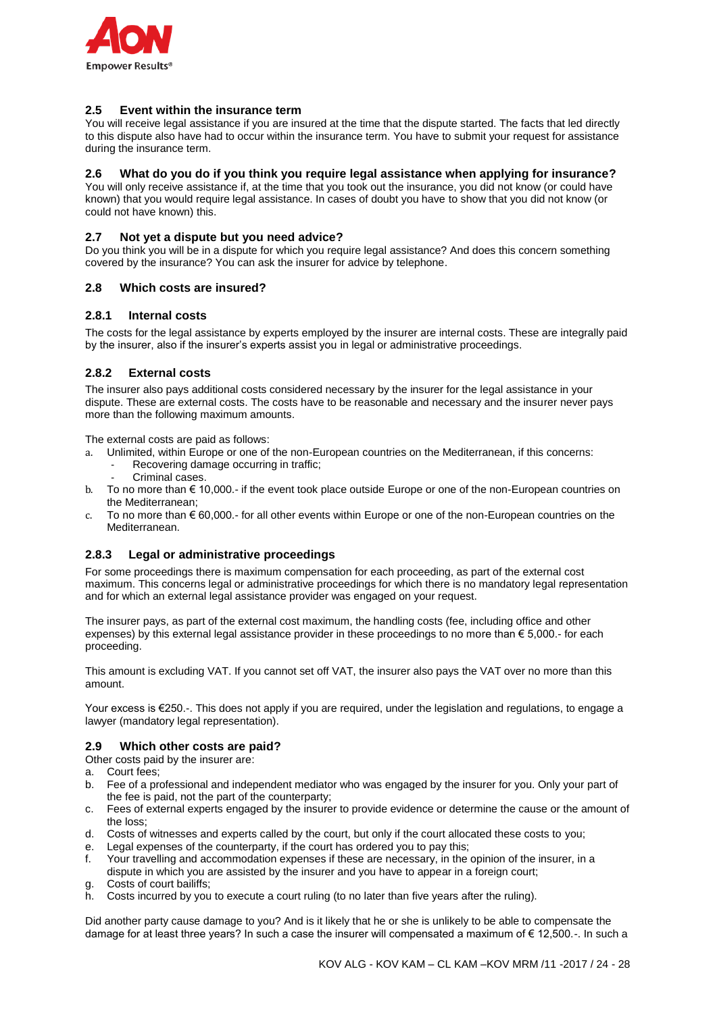

# **2.5 Event within the insurance term**

You will receive legal assistance if you are insured at the time that the dispute started. The facts that led directly to this dispute also have had to occur within the insurance term. You have to submit your request for assistance during the insurance term.

# **2.6 What do you do if you think you require legal assistance when applying for insurance?**

You will only receive assistance if, at the time that you took out the insurance, you did not know (or could have known) that you would require legal assistance. In cases of doubt you have to show that you did not know (or could not have known) this.

# **2.7 Not yet a dispute but you need advice?**

Do you think you will be in a dispute for which you require legal assistance? And does this concern something covered by the insurance? You can ask the insurer for advice by telephone.

# **2.8 Which costs are insured?**

# **2.8.1 Internal costs**

The costs for the legal assistance by experts employed by the insurer are internal costs. These are integrally paid by the insurer, also if the insurer's experts assist you in legal or administrative proceedings.

# **2.8.2 External costs**

The insurer also pays additional costs considered necessary by the insurer for the legal assistance in your dispute. These are external costs. The costs have to be reasonable and necessary and the insurer never pays more than the following maximum amounts.

The external costs are paid as follows:

- a. Unlimited, within Europe or one of the non-European countries on the Mediterranean, if this concerns:
	- Recovering damage occurring in traffic;
		- Criminal cases.
- b. To no more than € 10,000.- if the event took place outside Europe or one of the non-European countries on the Mediterranean;
- c. To no more than  $\epsilon$  60,000.- for all other events within Europe or one of the non-European countries on the Mediterranean.

# **2.8.3 Legal or administrative proceedings**

For some proceedings there is maximum compensation for each proceeding, as part of the external cost maximum. This concerns legal or administrative proceedings for which there is no mandatory legal representation and for which an external legal assistance provider was engaged on your request.

The insurer pays, as part of the external cost maximum, the handling costs (fee, including office and other expenses) by this external legal assistance provider in these proceedings to no more than € 5,000.- for each proceeding.

This amount is excluding VAT. If you cannot set off VAT, the insurer also pays the VAT over no more than this amount.

Your excess is €250.-. This does not apply if you are required, under the legislation and regulations, to engage a lawyer (mandatory legal representation).

#### **2.9 Which other costs are paid?**

- Other costs paid by the insurer are:
- a. Court fees;
- b. Fee of a professional and independent mediator who was engaged by the insurer for you. Only your part of the fee is paid, not the part of the counterparty;
- c. Fees of external experts engaged by the insurer to provide evidence or determine the cause or the amount of the loss;
- d. Costs of witnesses and experts called by the court, but only if the court allocated these costs to you;
- e. Legal expenses of the counterparty, if the court has ordered you to pay this;
- f. Your travelling and accommodation expenses if these are necessary, in the opinion of the insurer, in a dispute in which you are assisted by the insurer and you have to appear in a foreign court;
- g. Costs of court bailiffs;
- h. Costs incurred by you to execute a court ruling (to no later than five years after the ruling).

Did another party cause damage to you? And is it likely that he or she is unlikely to be able to compensate the damage for at least three years? In such a case the insurer will compensated a maximum of € 12,500.-. In such a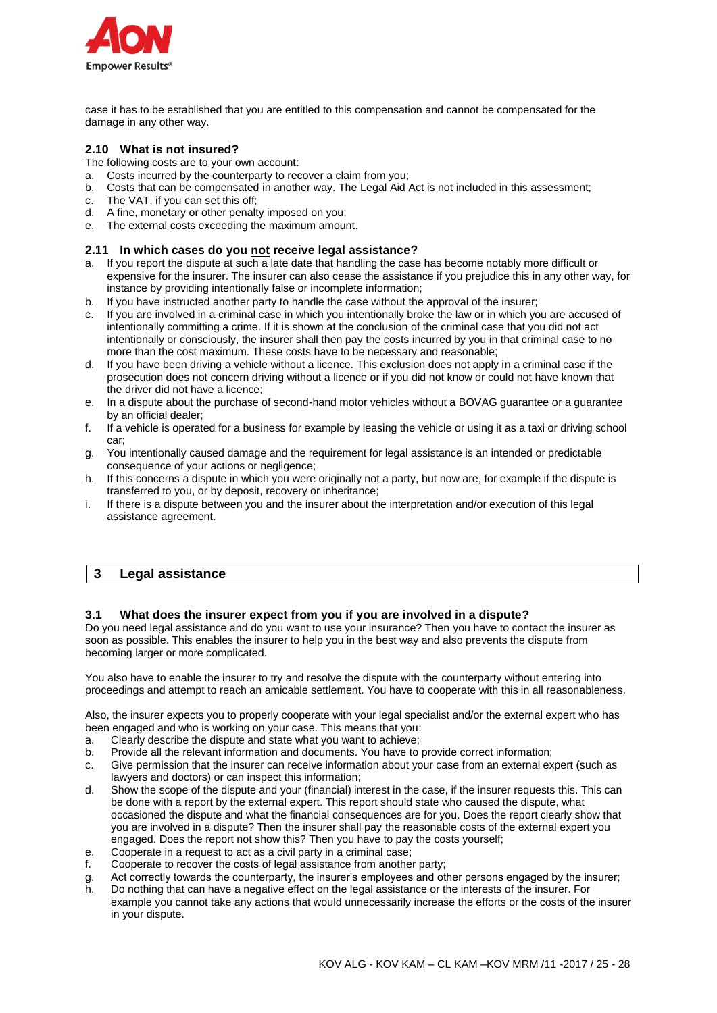

case it has to be established that you are entitled to this compensation and cannot be compensated for the damage in any other way.

# **2.10 What is not insured?**

- The following costs are to your own account:
- a. Costs incurred by the counterparty to recover a claim from you;
- b. Costs that can be compensated in another way. The Legal Aid Act is not included in this assessment;
- c. The VAT, if you can set this off;
- d. A fine, monetary or other penalty imposed on you;
- e. The external costs exceeding the maximum amount.

# **2.11 In which cases do you not receive legal assistance?**

- a. If you report the dispute at such a late date that handling the case has become notably more difficult or expensive for the insurer. The insurer can also cease the assistance if you prejudice this in any other way, for instance by providing intentionally false or incomplete information;
- b. If you have instructed another party to handle the case without the approval of the insurer;
- c. If you are involved in a criminal case in which you intentionally broke the law or in which you are accused of intentionally committing a crime. If it is shown at the conclusion of the criminal case that you did not act intentionally or consciously, the insurer shall then pay the costs incurred by you in that criminal case to no more than the cost maximum. These costs have to be necessary and reasonable;
- d. If you have been driving a vehicle without a licence. This exclusion does not apply in a criminal case if the prosecution does not concern driving without a licence or if you did not know or could not have known that the driver did not have a licence;
- e. In a dispute about the purchase of second-hand motor vehicles without a BOVAG guarantee or a guarantee by an official dealer;
- f. If a vehicle is operated for a business for example by leasing the vehicle or using it as a taxi or driving school car;
- g. You intentionally caused damage and the requirement for legal assistance is an intended or predictable consequence of your actions or negligence;
- h. If this concerns a dispute in which you were originally not a party, but now are, for example if the dispute is transferred to you, or by deposit, recovery or inheritance;
- i. If there is a dispute between you and the insurer about the interpretation and/or execution of this legal assistance agreement.

# **3 Legal assistance**

# **3.1 What does the insurer expect from you if you are involved in a dispute?**

Do you need legal assistance and do you want to use your insurance? Then you have to contact the insurer as soon as possible. This enables the insurer to help you in the best way and also prevents the dispute from becoming larger or more complicated.

You also have to enable the insurer to try and resolve the dispute with the counterparty without entering into proceedings and attempt to reach an amicable settlement. You have to cooperate with this in all reasonableness.

Also, the insurer expects you to properly cooperate with your legal specialist and/or the external expert who has been engaged and who is working on your case. This means that you:

- a. Clearly describe the dispute and state what you want to achieve;
- b. Provide all the relevant information and documents. You have to provide correct information;
- c. Give permission that the insurer can receive information about your case from an external expert (such as lawyers and doctors) or can inspect this information;
- d. Show the scope of the dispute and your (financial) interest in the case, if the insurer requests this. This can be done with a report by the external expert. This report should state who caused the dispute, what occasioned the dispute and what the financial consequences are for you. Does the report clearly show that you are involved in a dispute? Then the insurer shall pay the reasonable costs of the external expert you engaged. Does the report not show this? Then you have to pay the costs yourself;
- e. Cooperate in a request to act as a civil party in a criminal case;
- f. Cooperate to recover the costs of legal assistance from another party;
- g. Act correctly towards the counterparty, the insurer's employees and other persons engaged by the insurer;
- h. Do nothing that can have a negative effect on the legal assistance or the interests of the insurer. For example you cannot take any actions that would unnecessarily increase the efforts or the costs of the insurer in your dispute.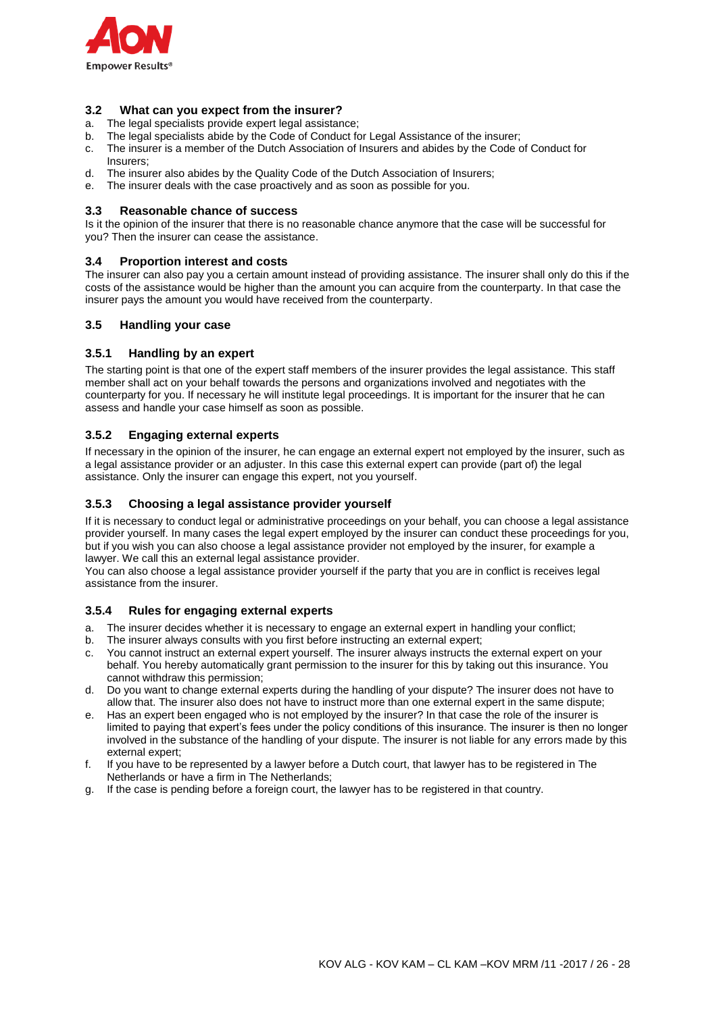

# **3.2 What can you expect from the insurer?**

- a. The legal specialists provide expert legal assistance;
- b. The legal specialists abide by the Code of Conduct for Legal Assistance of the insurer;
- c. The insurer is a member of the Dutch Association of Insurers and abides by the Code of Conduct for Insurers;
- d. The insurer also abides by the Quality Code of the Dutch Association of Insurers;
- e. The insurer deals with the case proactively and as soon as possible for you.

# **3.3 Reasonable chance of success**

Is it the opinion of the insurer that there is no reasonable chance anymore that the case will be successful for you? Then the insurer can cease the assistance.

# **3.4 Proportion interest and costs**

The insurer can also pay you a certain amount instead of providing assistance. The insurer shall only do this if the costs of the assistance would be higher than the amount you can acquire from the counterparty. In that case the insurer pays the amount you would have received from the counterparty.

# **3.5 Handling your case**

# **3.5.1 Handling by an expert**

The starting point is that one of the expert staff members of the insurer provides the legal assistance. This staff member shall act on your behalf towards the persons and organizations involved and negotiates with the counterparty for you. If necessary he will institute legal proceedings. It is important for the insurer that he can assess and handle your case himself as soon as possible.

# **3.5.2 Engaging external experts**

If necessary in the opinion of the insurer, he can engage an external expert not employed by the insurer, such as a legal assistance provider or an adjuster. In this case this external expert can provide (part of) the legal assistance. Only the insurer can engage this expert, not you yourself.

# **3.5.3 Choosing a legal assistance provider yourself**

If it is necessary to conduct legal or administrative proceedings on your behalf, you can choose a legal assistance provider yourself. In many cases the legal expert employed by the insurer can conduct these proceedings for you, but if you wish you can also choose a legal assistance provider not employed by the insurer, for example a lawyer. We call this an external legal assistance provider.

You can also choose a legal assistance provider yourself if the party that you are in conflict is receives legal assistance from the insurer.

# **3.5.4 Rules for engaging external experts**

- a. The insurer decides whether it is necessary to engage an external expert in handling your conflict;
- b. The insurer always consults with you first before instructing an external expert;
- c. You cannot instruct an external expert yourself. The insurer always instructs the external expert on your behalf. You hereby automatically grant permission to the insurer for this by taking out this insurance. You cannot withdraw this permission;
- d. Do you want to change external experts during the handling of your dispute? The insurer does not have to allow that. The insurer also does not have to instruct more than one external expert in the same dispute;
- e. Has an expert been engaged who is not employed by the insurer? In that case the role of the insurer is limited to paying that expert's fees under the policy conditions of this insurance. The insurer is then no longer involved in the substance of the handling of your dispute. The insurer is not liable for any errors made by this external expert;
- f. If you have to be represented by a lawyer before a Dutch court, that lawyer has to be registered in The Netherlands or have a firm in The Netherlands;
- g. If the case is pending before a foreign court, the lawyer has to be registered in that country.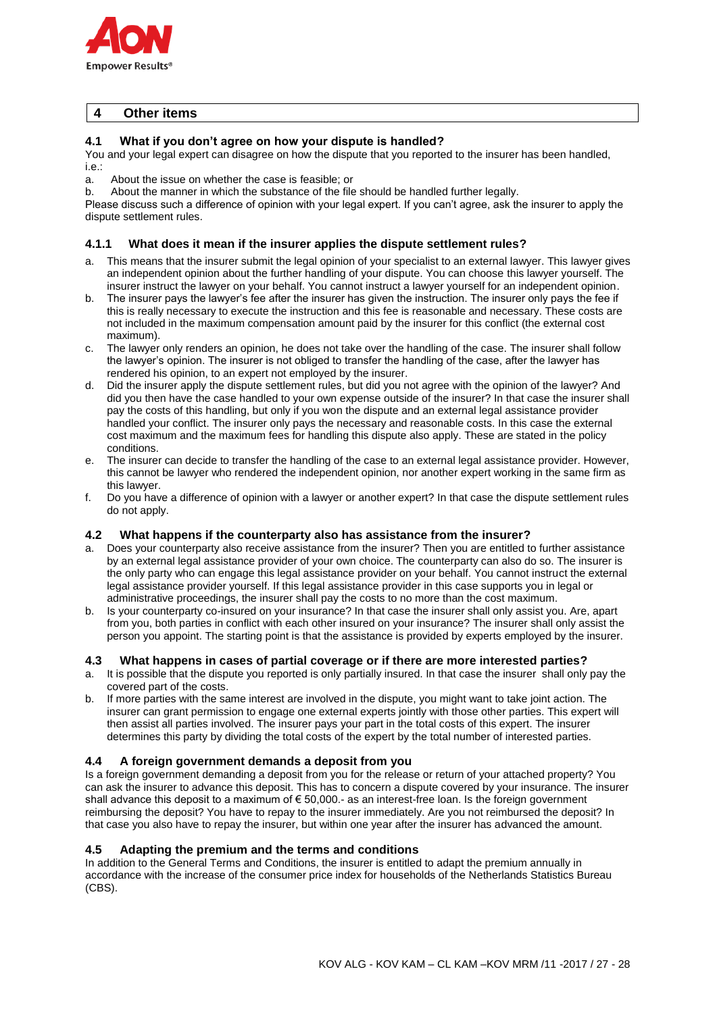

# **4 Other items**

# **4.1 What if you don't agree on how your dispute is handled?**

You and your legal expert can disagree on how the dispute that you reported to the insurer has been handled,  $i.e.$ 

a. About the issue on whether the case is feasible; or

b. About the manner in which the substance of the file should be handled further legally.

Please discuss such a difference of opinion with your legal expert. If you can't agree, ask the insurer to apply the dispute settlement rules.

# **4.1.1 What does it mean if the insurer applies the dispute settlement rules?**

- a. This means that the insurer submit the legal opinion of your specialist to an external lawyer. This lawyer gives an independent opinion about the further handling of your dispute. You can choose this lawyer yourself. The insurer instruct the lawyer on your behalf. You cannot instruct a lawyer yourself for an independent opinion.
- b. The insurer pays the lawyer's fee after the insurer has given the instruction. The insurer only pays the fee if this is really necessary to execute the instruction and this fee is reasonable and necessary. These costs are not included in the maximum compensation amount paid by the insurer for this conflict (the external cost maximum).
- c. The lawyer only renders an opinion, he does not take over the handling of the case. The insurer shall follow the lawyer's opinion. The insurer is not obliged to transfer the handling of the case, after the lawyer has rendered his opinion, to an expert not employed by the insurer.
- d. Did the insurer apply the dispute settlement rules, but did you not agree with the opinion of the lawyer? And did you then have the case handled to your own expense outside of the insurer? In that case the insurer shall pay the costs of this handling, but only if you won the dispute and an external legal assistance provider handled your conflict. The insurer only pays the necessary and reasonable costs. In this case the external cost maximum and the maximum fees for handling this dispute also apply. These are stated in the policy conditions.
- e. The insurer can decide to transfer the handling of the case to an external legal assistance provider. However, this cannot be lawyer who rendered the independent opinion, nor another expert working in the same firm as this lawyer.
- f. Do you have a difference of opinion with a lawyer or another expert? In that case the dispute settlement rules do not apply.

# **4.2 What happens if the counterparty also has assistance from the insurer?**

- a. Does your counterparty also receive assistance from the insurer? Then you are entitled to further assistance by an external legal assistance provider of your own choice. The counterparty can also do so. The insurer is the only party who can engage this legal assistance provider on your behalf. You cannot instruct the external legal assistance provider yourself. If this legal assistance provider in this case supports you in legal or administrative proceedings, the insurer shall pay the costs to no more than the cost maximum.
- b. Is your counterparty co-insured on your insurance? In that case the insurer shall only assist you. Are, apart from you, both parties in conflict with each other insured on your insurance? The insurer shall only assist the person you appoint. The starting point is that the assistance is provided by experts employed by the insurer.

# **4.3 What happens in cases of partial coverage or if there are more interested parties?**

- a. It is possible that the dispute you reported is only partially insured. In that case the insurer shall only pay the covered part of the costs.
- If more parties with the same interest are involved in the dispute, you might want to take joint action. The insurer can grant permission to engage one external experts jointly with those other parties. This expert will then assist all parties involved. The insurer pays your part in the total costs of this expert. The insurer determines this party by dividing the total costs of the expert by the total number of interested parties.

# **4.4 A foreign government demands a deposit from you**

Is a foreign government demanding a deposit from you for the release or return of your attached property? You can ask the insurer to advance this deposit. This has to concern a dispute covered by your insurance. The insurer shall advance this deposit to a maximum of  $\epsilon$  50,000.- as an interest-free loan. Is the foreign government reimbursing the deposit? You have to repay to the insurer immediately. Are you not reimbursed the deposit? In that case you also have to repay the insurer, but within one year after the insurer has advanced the amount.

# **4.5 Adapting the premium and the terms and conditions**

In addition to the General Terms and Conditions, the insurer is entitled to adapt the premium annually in accordance with the increase of the consumer price index for households of the Netherlands Statistics Bureau (CBS).